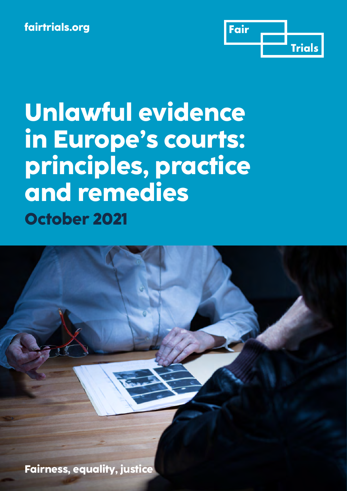

**Unlawful evidence in Europe's courts: principles, practice and remedies October 2021**

**Fairness, equality, justice**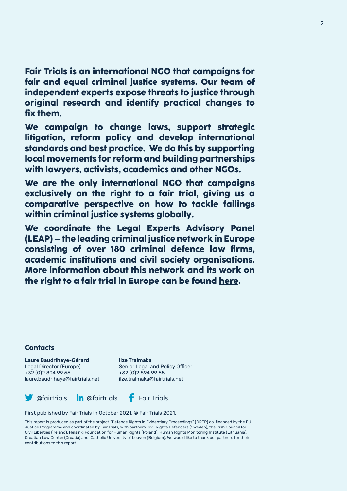**Fair Trials is an international NGO that campaigns for fair and equal criminal justice systems. Our team of independent experts expose threats to justice through original research and identify practical changes to fix them.** 

**We campaign to change laws, support strategic litigation, reform policy and develop international standards and best practice. We do this by supporting local movements for reform and building partnerships with lawyers, activists, academics and other NGOs.** 

**We are the only international NGO that campaigns exclusively on the right to a fair trial, giving us a comparative perspective on how to tackle failings within criminal justice systems globally.** 

**We coordinate the Legal Experts Advisory Panel (LEAP) – the leading criminal justice network in Europe consisting of over 180 criminal defence law firms, academic institutions and civil society organisations. More information about this network and its work on the right to a fair trial in Europe can be found [here](https://www.fairtrials.org/legal-experts-advisory-panel).** 

#### **Contacts**

Laure Baudrihaye-Gérard Ilze Tralmaka Legal Director (Europe) Senior Legal and Policy Officer +32 (0)2 894 99 55<br>| laure.baudrihaye@fairtrials.net|| lize.tralmaka@fairtrials.net laure.baudrihaye@fairtrials.net



First published by Fair Trials in October 2021. © Fair Trials 2021.

This report is produced as part of the project "Defence Rights in Evidentiary Proceedings" (DREP) co-financed by the EU Justice Programme and coordinated by Fair Trials, with partners Civil Rights Defenders (Sweden), the Irish Council for Civil Liberties (Ireland), Helsinki Foundation for Human Rights (Poland), Human Rights Monitoring Institute (Lithuania), Croatian Law Center (Croatia) and Catholic University of Leuven (Belgium). We would like to thank our partners for their contributions to this report.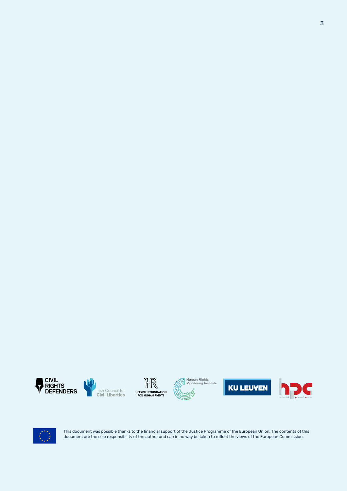













This document was possible thanks to the financial support of the Justice Programme of the European Union. The contents of this document are the sole responsibility of the author and can in no way be taken to reflect the views of the European Commission.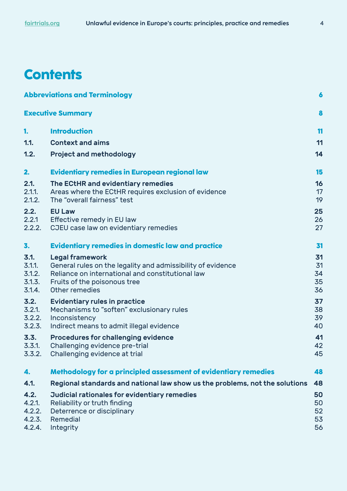## **Contents**

| <b>Abbreviations and Terminology</b><br>$\boldsymbol{6}$ |                                                                                                                                                                                             |                            |
|----------------------------------------------------------|---------------------------------------------------------------------------------------------------------------------------------------------------------------------------------------------|----------------------------|
| <b>Executive Summary</b>                                 |                                                                                                                                                                                             | 8                          |
| 1.                                                       | <b>Introduction</b>                                                                                                                                                                         | 11                         |
| 1.1.                                                     | <b>Context and aims</b>                                                                                                                                                                     | 11                         |
| 1.2.                                                     | <b>Project and methodology</b>                                                                                                                                                              | 14                         |
| 2.                                                       | <b>Evidentiary remedies in European regional law</b>                                                                                                                                        | 15                         |
| 2.1.<br>2.1.1.<br>2.1.2.                                 | The ECtHR and evidentiary remedies<br>Areas where the ECtHR requires exclusion of evidence<br>The "overall fairness" test                                                                   | 16<br>17<br>19             |
| 2.2.<br>2.2.1<br>2.2.2.                                  | <b>EU Law</b><br>Effective remedy in EU law<br>CJEU case law on evidentiary remedies                                                                                                        | 25<br>26<br>27             |
| 3.                                                       | <b>Evidentiary remedies in domestic law and practice</b>                                                                                                                                    | 31                         |
| 3.1.<br>$3.1.1$ .<br>3.1.2.<br>3.1.3.<br>3.1.4.          | <b>Legal framework</b><br>General rules on the legality and admissibility of evidence<br>Reliance on international and constitutional law<br>Fruits of the poisonous tree<br>Other remedies | 31<br>31<br>34<br>35<br>36 |
| 3.2.<br>3.2.1.<br>3.2.2.<br>3.2.3.                       | <b>Evidentiary rules in practice</b><br>Mechanisms to "soften" exclusionary rules<br>Inconsistency<br>Indirect means to admit illegal evidence                                              | 37<br>38<br>39<br>40       |
| 3.3.<br>3.3.1.<br>3.3.2.                                 | Procedures for challenging evidence<br>Challenging evidence pre-trial<br>Challenging evidence at trial                                                                                      | 41<br>42<br>45             |
| 4.                                                       | Methodology for a principled assessment of evidentiary remedies                                                                                                                             | 48                         |
| 4.1.                                                     | Regional standards and national law show us the problems, not the solutions                                                                                                                 | 48                         |
| 4.2.<br>4.2.1.<br>4.2.2.<br>4.2.3.<br>4.2.4.             | Judicial rationales for evidentiary remedies<br>Reliability or truth finding<br>Deterrence or disciplinary<br>Remedial<br>Integrity                                                         | 50<br>50<br>52<br>53<br>56 |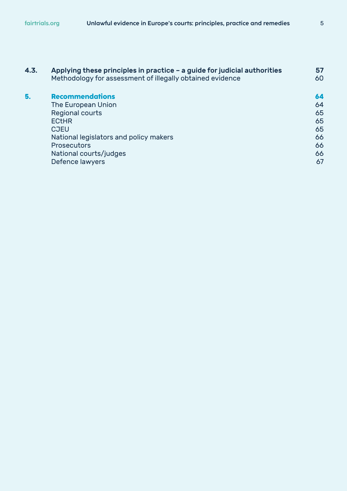| 4.3.                                   | Applying these principles in practice - a guide for judicial authorities<br>Methodology for assessment of illegally obtained evidence | 57<br>60 |
|----------------------------------------|---------------------------------------------------------------------------------------------------------------------------------------|----------|
|                                        |                                                                                                                                       |          |
| The European Union                     | 64                                                                                                                                    |          |
| Regional courts                        | 65                                                                                                                                    |          |
| <b>ECtHR</b>                           | 65                                                                                                                                    |          |
| <b>CJEU</b>                            | 65                                                                                                                                    |          |
| National legislators and policy makers | 66                                                                                                                                    |          |
| <b>Prosecutors</b>                     | 66                                                                                                                                    |          |
| National courts/judges                 | 66                                                                                                                                    |          |
| Defence lawyers                        | 67                                                                                                                                    |          |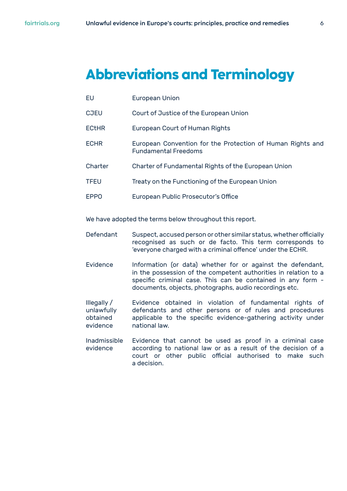# <span id="page-5-0"></span>**Abbreviations and Terminology**

- EU European Union
- CJEU Court of Justice of the European Union
- ECtHR European Court of Human Rights
- ECHR European Convention for the Protection of Human Rights and Fundamental Freedoms
- Charter Charter of Fundamental Rights of the European Union
- TFEU Treaty on the Functioning of the European Union
- EPPO European Public Prosecutor's Office

We have adopted the terms below throughout this report.

- Defendant Suspect, accused person or other similar status, whether officially recognised as such or de facto. This term corresponds to 'everyone charged with a criminal offence' under the ECHR.
- Evidence Information (or data) whether for or against the defendant, in the possession of the competent authorities in relation to a specific criminal case. This can be contained in any form documents, objects, photographs, audio recordings etc.
- Illegally / Evidence obtained in violation of fundamental rights of unlawfully defendants and other persons or of rules and procedures obtained applicable to the specific evidence-gathering activity under evidence national law.
- Inadmissible Evidence that cannot be used as proof in a criminal case evidence according to national law or as a result of the decision of a court or other public official authorised to make such a decision.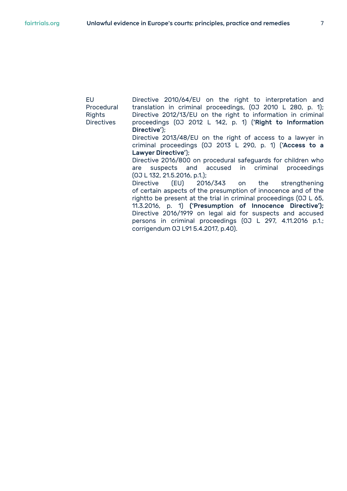| Directive 2010/64/EU on the right to interpretation and           |
|-------------------------------------------------------------------|
| translation in criminal proceedings, (0J 2010 L 280, p. 1);       |
| Directive 2012/13/EU on the right to information in criminal      |
| proceedings (0J 2012 L 142, p. 1) ('Right to Information          |
| Directive');                                                      |
|                                                                   |
| Directive 2013/48/EU on the right of access to a lawyer in        |
| criminal proceedings (0J 2013 L 290, p. 1) ('Access to a          |
| Lawyer Directive');                                               |
| Directive 2016/800 on procedural safeguards for children who      |
| are suspects and accused in criminal proceedings                  |
| [0J L 132, 21.5.2016, p.1.];                                      |
|                                                                   |
| Directive (EU) 2016/343 on the strengthening                      |
| of certain aspects of the presumption of innocence and of the     |
| rightto be present at the trial in criminal proceedings (0J L 65, |
| 11.3.2016, p. 1) ('Presumption of Innocence Directive');          |
| Directive 2016/1919 on legal aid for suspects and accused         |
|                                                                   |
| persons in criminal proceedings (0J L 297, 4.11.2016 p.1.;        |
| corrigendum 0J L91 5.4.2017, p.40).                               |
|                                                                   |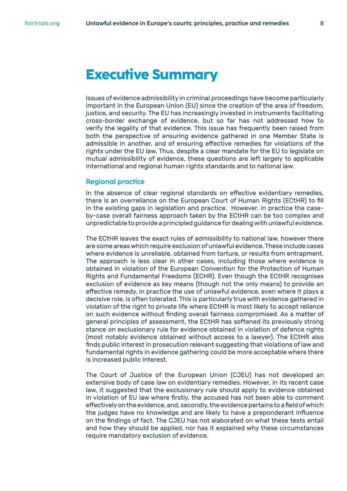## <span id="page-7-0"></span>**Executive Summary**

Issues of evidence admissibility in criminal proceedings have become particularly important in the European Union (EU) since the creation of the area of freedom, justice, and security. The EU has increasingly invested in instruments facilitating cross-border exchange of evidence, but so far has not addressed how to verify the legality of that evidence. This issue has frequently been raised from both the perspective of ensuring evidence gathered in one Member State is admissible in another, and of ensuring effective remedies for violations of the rights under the EU law. Thus, despite a clear mandate for the EU to legislate on mutual admissibility of evidence, these questions are left largely to applicable international and regional human rights standards and to national law.

#### **Regional practice**

In the absence of clear regional standards on effective evidentiary remedies, there is an overreliance on the European Court of Human Rights (ECtHR) to fill in the existing gaps in legislation and practice. However, in practice the caseby-case overall fairness approach taken by the ECtHR can be too complex and unpredictable to provide a principled guidance for dealing with unlawful evidence.

The ECtHR leaves the exact rules of admissibility to national law, however there are some areas which require exclusion of unlawful evidence. These include cases where evidence is unreliable, obtained from torture, or results from entrapment. The approach is less clear in other cases, including those where evidence is obtained in violation of the European Convention for the Protection of Human Rights and Fundamental Freedoms (ECHR). Even though the ECtHR recognises exclusion of evidence as key means (though not the only means) to provide an effective remedy, in practice the use of unlawful evidence, even where it plays a decisive role, is often tolerated. This is particularly true with evidence gathered in violation of the right to private life where ECtHR is most likely to accept reliance on such evidence without finding overall fairness compromised. As a matter of general principles of assessment, the ECtHR has softened its previously strong stance on exclusionary rule for evidence obtained in violation of defence rights (most notably evidence obtained without access to a lawyer). The ECtHR also finds public interest in prosecution relevant suggesting that violations of law and fundamental rights in evidence gathering could be more acceptable where there is increased public interest.

The Court of Justice of the European Union (CJEU) has not developed an extensive body of case law on evidentiary remedies. However, in its recent case law, it suggested that the exclusionary rule should apply to evidence obtained in violation of EU law where firstly, the accused has not been able to comment effectively on the evidence, and, secondly, the evidence pertains to a field of which the judges have no knowledge and are likely to have a preponderant influence on the findings of fact. The CJEU has not elaborated on what these tests entail and how they should be applied, nor has it explained why these circumstances require mandatory exclusion of evidence.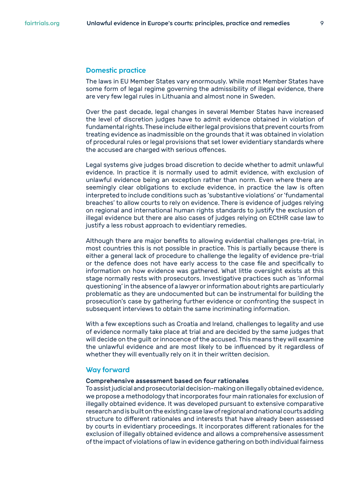#### **Domestic practice**

The laws in EU Member States vary enormously. While most Member States have some form of legal regime governing the admissibility of illegal evidence, there are very few legal rules in Lithuania and almost none in Sweden.

Over the past decade, legal changes in several Member States have increased the level of discretion judges have to admit evidence obtained in violation of fundamental rights. These include either legal provisions that prevent courts from treating evidence as inadmissible on the grounds that it was obtained in violation of procedural rules or legal provisions that set lower evidentiary standards where the accused are charged with serious offences.

Legal systems give judges broad discretion to decide whether to admit unlawful evidence. In practice it is normally used to admit evidence, with exclusion of unlawful evidence being an exception rather than norm. Even where there are seemingly clear obligations to exclude evidence, in practice the law is often interpreted to include conditions such as 'substantive violations' or 'fundamental breaches' to allow courts to rely on evidence. There is evidence of judges relying on regional and international human rights standards to justify the exclusion of illegal evidence but there are also cases of judges relying on ECtHR case law to justify a less robust approach to evidentiary remedies.

Although there are major benefits to allowing evidential challenges pre-trial, in most countries this is not possible in practice. This is partially because there is either a general lack of procedure to challenge the legality of evidence pre-trial or the defence does not have early access to the case file and specifically to information on how evidence was gathered. What little oversight exists at this stage normally rests with prosecutors. Investigative practices such as 'informal questioning' in the absence of a lawyer or information about rights are particularly problematic as they are undocumented but can be instrumental for building the prosecution's case by gathering further evidence or confronting the suspect in subsequent interviews to obtain the same incriminating information.

With a few exceptions such as Croatia and Ireland, challenges to legality and use of evidence normally take place at trial and are decided by the same judges that will decide on the guilt or innocence of the accused. This means they will examine the unlawful evidence and are most likely to be influenced by it regardless of whether they will eventually rely on it in their written decision.

#### **Way forward**

#### Comprehensive assessment based on four rationales

To assist judicial and prosecutorial decision-making on illegally obtained evidence, we propose a methodology that incorporates four main rationales for exclusion of illegally obtained evidence. It was developed pursuant to extensive comparative research and is built on the existing case law of regional and national courts adding structure to different rationales and interests that have already been assessed by courts in evidentiary proceedings. It incorporates different rationales for the exclusion of illegally obtained evidence and allows a comprehensive assessment of the impact of violations of law in evidence gathering on both individual fairness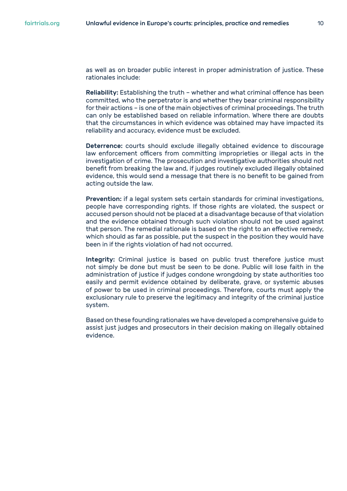as well as on broader public interest in proper administration of justice. These rationales include:

Reliability: Establishing the truth – whether and what criminal offence has been committed, who the perpetrator is and whether they bear criminal responsibility for their actions – is one of the main objectives of criminal proceedings. The truth can only be established based on reliable information. Where there are doubts that the circumstances in which evidence was obtained may have impacted its reliability and accuracy, evidence must be excluded.

Deterrence: courts should exclude illegally obtained evidence to discourage law enforcement officers from committing improprieties or illegal acts in the investigation of crime. The prosecution and investigative authorities should not benefit from breaking the law and, if judges routinely excluded illegally obtained evidence, this would send a message that there is no benefit to be gained from acting outside the law.

Prevention: if a legal system sets certain standards for criminal investigations, people have corresponding rights. If those rights are violated, the suspect or accused person should not be placed at a disadvantage because of that violation and the evidence obtained through such violation should not be used against that person. The remedial rationale is based on the right to an effective remedy, which should as far as possible, put the suspect in the position they would have been in if the rights violation of had not occurred.

Integrity: Criminal justice is based on public trust therefore justice must not simply be done but must be seen to be done. Public will lose faith in the administration of justice if judges condone wrongdoing by state authorities too easily and permit evidence obtained by deliberate, grave, or systemic abuses of power to be used in criminal proceedings. Therefore, courts must apply the exclusionary rule to preserve the legitimacy and integrity of the criminal justice system.

Based on these founding rationales we have developed a comprehensive guide to assist just judges and prosecutors in their decision making on illegally obtained evidence.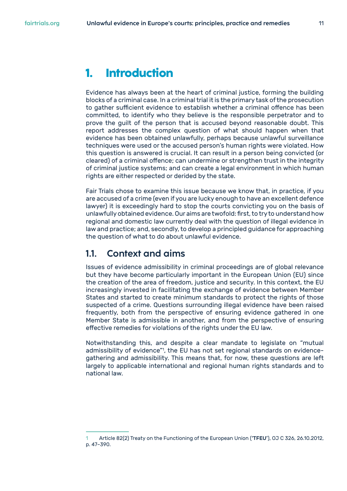<span id="page-10-0"></span>Evidence has always been at the heart of criminal justice, forming the building blocks of a criminal case. In a criminal trial it is the primary task of the prosecution to gather sufficient evidence to establish whether a criminal offence has been committed, to identify who they believe is the responsible perpetrator and to prove the guilt of the person that is accused beyond reasonable doubt. This report addresses the complex question of what should happen when that evidence has been obtained unlawfully, perhaps because unlawful surveillance techniques were used or the accused person's human rights were violated. How this question is answered is crucial. It can result in a person being convicted (or cleared) of a criminal offence; can undermine or strengthen trust in the integrity of criminal justice systems; and can create a legal environment in which human rights are either respected or derided by the state.

Fair Trials chose to examine this issue because we know that, in practice, if you are accused of a crime (even if you are lucky enough to have an excellent defence lawyer) it is exceedingly hard to stop the courts convicting you on the basis of unlawfully obtained evidence. Our aims are twofold: first, to try to understand how regional and domestic law currently deal with the question of illegal evidence in law and practice; and, secondly, to develop a principled guidance for approaching the question of what to do about unlawful evidence.

### **1.1. Context and aims**

Issues of evidence admissibility in criminal proceedings are of global relevance but they have become particularly important in the European Union (EU) since the creation of the area of freedom, justice and security. In this context, the EU increasingly invested in facilitating the exchange of evidence between Member States and started to create minimum standards to protect the rights of those suspected of a crime. Questions surrounding illegal evidence have been raised frequently, both from the perspective of ensuring evidence gathered in one Member State is admissible in another, and from the perspective of ensuring effective remedies for violations of the rights under the EU law.

Notwithstanding this, and despite a clear mandate to legislate on "mutual admissibility of evidence"<sup>1</sup>, the EU has not set regional standards on evidencegathering and admissibility. This means that, for now, these questions are left largely to applicable international and regional human rights standards and to national law.

Article 82(2) Treaty on the Functioning of the European Union ('TFEU'), OJ C 326, 26.10.2012, p. 47–390.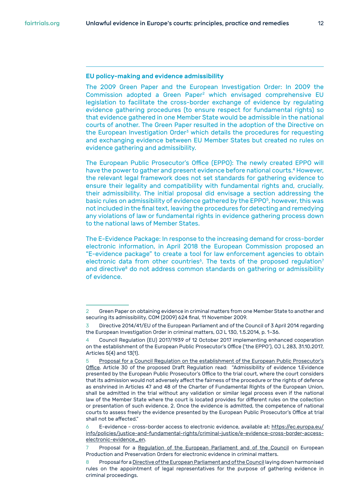#### EU policy-making and evidence admissibility

The 2009 Green Paper and the European Investigation Order: In 2009 the Commission adopted a Green Paper<sup>2</sup> which envisaged comprehensive EU legislation to facilitate the cross-border exchange of evidence by regulating evidence gathering procedures (to ensure respect for fundamental rights) so that evidence gathered in one Member State would be admissible in the national courts of another. The Green Paper resulted in the adoption of the Directive on the European Investigation Order<sup>3</sup> which details the procedures for requesting and exchanging evidence between EU Member States but created no rules on evidence gathering and admissibility.

The European Public Prosecutor's Office (EPPO): The newly created EPPO will have the power to gather and present evidence before national courts.<sup>4</sup> However, the relevant legal framework does not set standards for gathering evidence to ensure their legality and compatibility with fundamental rights and, crucially, their admissibility. The initial proposal did envisage a section addressing the basic rules on admissibility of evidence gathered by the EPPO<sup>5</sup>, however, this was not included in the final text, leaving the procedures for detecting and remedying any violations of law or fundamental rights in evidence gathering process down to the national laws of Member States.

The E-Evidence Package: In response to the increasing demand for cross-border electronic information, in April 2018 the European Commission proposed an "E-evidence package" to create a tool for law enforcement agencies to obtain electronic data from other countries<sup>6</sup>. The texts of the proposed regulation<sup>7</sup> and directive<sup>8</sup> do not address common standards on gathering or admissibility of evidence.

<sup>2</sup> Green Paper on obtaining evidence in criminal matters from one Member State to another and securing its admissibility, COM (2009) 624 final, 11 November 2009.

Directive 2014/41/EU of the European Parliament and of the Council of 3 April 2014 regarding the European Investigation Order in criminal matters, OJ L 130, 1.5.2014, p. 1–36.

<sup>4</sup> Council Regulation (EU) 2017/1939 of 12 October 2017 implementing enhanced cooperation on the establishment of the European Public Prosecutor's Office ('the EPPO'), OJ L 283, 31.10.2017, Articles 5(4) and 13(1).

<sup>5</sup> [Proposal for a Council Regulation on the establishment of the European Public Prosecutor's](https://eur-lex.europa.eu/legal-content/EN/ALL/?uri=celex%3A52013PC0534)  [Office](https://eur-lex.europa.eu/legal-content/EN/ALL/?uri=celex%3A52013PC0534). Article 30 of the proposed Draft Regulation read: "Admissibility of evidence 1.Evidence presented by the European Public Prosecutor's Office to the trial court, where the court considers that its admission would not adversely affect the fairness of the procedure or the rights of defence as enshrined in Articles 47 and 48 of the Charter of Fundamental Rights of the European Union, shall be admitted in the trial without any validation or similar legal process even if the national law of the Member State where the court is located provides for different rules on the collection or presentation of such evidence. 2. Once the evidence is admitted, the competence of national courts to assess freely the evidence presented by the European Public Prosecutor's Office at trial shall not be affected."

<sup>6</sup> E-evidence - cross-border access to electronic evidence, available at: [https://ec.europa.eu/](https://ec.europa.eu/info/policies/justice-and-fundamental-rights/criminal-justice/e-evidence-cross-border-access-electronic-evidence_en) [info/policies/justice-and-fundamental-rights/criminal-justice/e-evidence-cross-border-access](https://ec.europa.eu/info/policies/justice-and-fundamental-rights/criminal-justice/e-evidence-cross-border-access-electronic-evidence_en)[electronic-evidence\\_en.](https://ec.europa.eu/info/policies/justice-and-fundamental-rights/criminal-justice/e-evidence-cross-border-access-electronic-evidence_en)

Proposal for a [Regulation of the European Parliament and of the Council](https://eur-lex.europa.eu/legal-content/EN/TXT/?qid=1524129181403&uri=COM:2018:225:FIN) on European Production and Preservation Orders for electronic evidence in criminal matters.

<sup>8</sup> Proposal for a [Directive of the European Parliament and of the Council](https://eur-lex.europa.eu/legal-content/EN/TXT/?qid=1524129181403&uri=COM:2018:226:FIN) laying down harmonised rules on the appointment of legal representatives for the purpose of gathering evidence in criminal proceedings.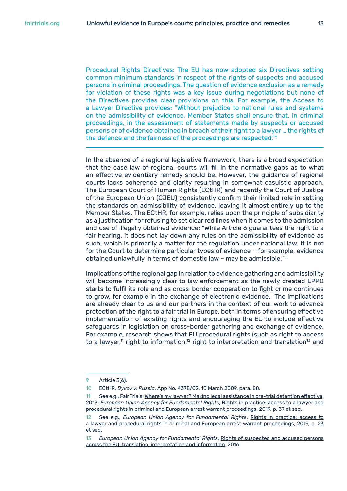Procedural Rights Directives: The EU has now adopted six Directives setting common minimum standards in respect of the rights of suspects and accused persons in criminal proceedings. The question of evidence exclusion as a remedy for violation of these rights was a key issue during negotiations but none of the Directives provides clear provisions on this. For example, the Access to a Lawyer Directive provides: "Without prejudice to national rules and systems on the admissibility of evidence, Member States shall ensure that, in criminal proceedings, in the assessment of statements made by suspects or accused persons or of evidence obtained in breach of their right to a lawyer … the rights of the defence and the fairness of the proceedings are respected."<sup>9</sup>

In the absence of a regional legislative framework, there is a broad expectation that the case law of regional courts will fill in the normative gaps as to what an effective evidentiary remedy should be. However, the guidance of regional courts lacks coherence and clarity resulting in somewhat casuistic approach. The European Court of Human Rights (ECtHR) and recently the Court of Justice of the European Union (CJEU) consistently confirm their limited role in setting the standards on admissibility of evidence, leaving it almost entirely up to the Member States. The ECtHR, for example, relies upon the principle of subsidiarity as a justification for refusing to set clear red lines when it comes to the admission and use of illegally obtained evidence: "While Article 6 guarantees the right to a fair hearing, it does not lay down any rules on the admissibility of evidence as such, which is primarily a matter for the regulation under national law. It is not for the Court to determine particular types of evidence – for example, evidence obtained unlawfully in terms of domestic law – may be admissible."<sup>10</sup>

Implications of the regional gap in relation to evidence gathering and admissibility will become increasingly clear to law enforcement as the newly created EPPO starts to fulfil its role and as cross-border cooperation to fight crime continues to grow, for example in the exchange of electronic evidence. The implications are already clear to us and our partners in the context of our work to advance protection of the right to a fair trial in Europe, both in terms of ensuring effective implementation of existing rights and encouraging the EU to include effective safeguards in legislation on cross-border gathering and exchange of evidence. For example, research shows that EU procedural rights (such as right to access to a lawyer,<sup>11</sup> right to information,<sup>12</sup> right to interpretation and translation<sup>13</sup> and

<sup>9</sup> Article 3(6).

<sup>10</sup> ECtHR, *Bykov v. Russia*, App No. 4378/02, 10 March 2009, para. 88.

<sup>11</sup> See e.g., Fair Trials, [Where's my lawyer? Making legal assistance in pre-trial detention effective](https://www.fairtrials.org/sites/default/files/publication_pdf/Wheres-my-lawyer-making-legal-assistance-in-pre-trial-detention-effective.pdf), 2019; *European Union Agency for Fundamental Rights*, [Rights in practice: access to a lawyer and](https://fra.europa.eu/sites/default/files/fra_uploads/fra-2019-rights-in-practice-access-to-a-lawyer-and-procedural-rights-in-criminal-and-european-arrest-warrant-proceedings.pdf)  [procedural rights in criminal and European arrest warrant proceedings](https://fra.europa.eu/sites/default/files/fra_uploads/fra-2019-rights-in-practice-access-to-a-lawyer-and-procedural-rights-in-criminal-and-european-arrest-warrant-proceedings.pdf), 2019, p. 37 et seq.

<sup>12</sup> See e.g., *European Union Agency for Fundamental Rights*, [Rights in practice: access to](https://fra.europa.eu/sites/default/files/fra_uploads/fra-2019-rights-in-practice-access-to-a-lawyer-and-procedural-rights-in-criminal-and-european-arrest-warrant-proceedings.pdf)  [a lawyer and procedural rights in criminal and European arrest warrant proceedings](https://fra.europa.eu/sites/default/files/fra_uploads/fra-2019-rights-in-practice-access-to-a-lawyer-and-procedural-rights-in-criminal-and-european-arrest-warrant-proceedings.pdf), 2019, p. 23 et seq.

<sup>13</sup> *European Union Agency for Fundamental Rights*, [Rights of suspected and accused persons](https://fra.europa.eu/sites/default/files/fra_uploads/fra-2016-right-to-information-translation_en.pdf)  [across the EU: translation, interpretation and information](https://fra.europa.eu/sites/default/files/fra_uploads/fra-2016-right-to-information-translation_en.pdf), 2016.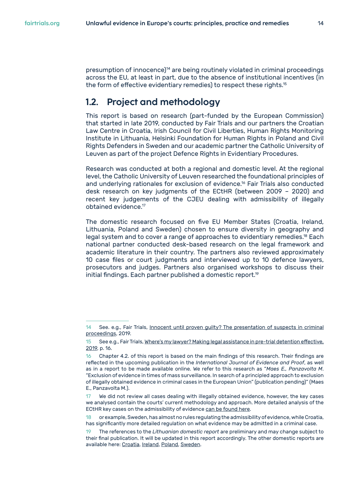<span id="page-13-0"></span>presumption of innocence)<sup>14</sup> are being routinely violated in criminal proceedings across the EU, at least in part, due to the absence of institutional incentives (in the form of effective evidentiary remedies) to respect these rights.<sup>15</sup>

## **1.2. Project and methodology**

This report is based on research (part-funded by the European Commission) that started in late 2019, conducted by Fair Trials and our partners the Croatian Law Centre in Croatia, Irish Council for Civil Liberties, Human Rights Monitoring Institute in Lithuania, Helsinki Foundation for Human Rights in Poland and Civil Rights Defenders in Sweden and our academic partner the Catholic University of Leuven as part of the project Defence Rights in Evidentiary Procedures.

Research was conducted at both a regional and domestic level. At the regional level, the Catholic University of Leuven researched the foundational principles of and underlying rationales for exclusion of evidence.16 Fair Trials also conducted desk research on key judgments of the ECtHR (between 2009 – 2020) and recent key judgements of the CJEU dealing with admissibility of illegally obtained evidence.17

The domestic research focused on five EU Member States (Croatia, Ireland, Lithuania, Poland and Sweden) chosen to ensure diversity in geography and legal system and to cover a range of approaches to evidentiary remedies.<sup>18</sup> Each national partner conducted desk-based research on the legal framework and academic literature in their country. The partners also reviewed approximately 10 case files or court judgments and interviewed up to 10 defence lawyers, prosecutors and judges. Partners also organised workshops to discuss their initial findings. Each partner published a domestic report.<sup>19</sup>

<sup>14</sup> See. e.g., Fair Trials, [Innocent until proven guilty? The presentation of suspects in criminal](https://www.fairtrials.org/sites/default/files/publication_pdf/Fair-Trials-Innocent%20until-proven-guilty-The-presentation-of-suspects-in-criminal-proceedings_0.pdf)  [proceedings](https://www.fairtrials.org/sites/default/files/publication_pdf/Fair-Trials-Innocent%20until-proven-guilty-The-presentation-of-suspects-in-criminal-proceedings_0.pdf), 2019.

<sup>15</sup> See e.g., Fair Trials, [Where's my lawyer? Making legal assistance in pre-trial detention effective,](https://www.fairtrials.org/sites/default/files/publication_pdf/Wheres-my-lawyer-making-legal-assistance-in-pre-trial-detention-effective.pdf)  [2019](https://www.fairtrials.org/sites/default/files/publication_pdf/Wheres-my-lawyer-making-legal-assistance-in-pre-trial-detention-effective.pdf), p. 16.

<sup>16</sup> Chapter 4.2. of this report is based on the main findings of this research. Their findings are reflected in the upcoming publication in the *International Journal of Evidence and Proof*, as well as in a report to be made available online. We refer to this research as "*Maes E., Panzavolta M*. "Exclusion of evidence in times of mass surveillance. In search of a principled approach to exclusion of illegally obtained evidence in criminal cases in the European Union" (publication pending)" (Maes E. Panzavolta M.).

<sup>17</sup> We did not review all cases dealing with illegally obtained evidence, however, the key cases we analysed contain the courts' current methodology and approach. More detailed analysis of the ECtHR key cases on the admissibility of evidence [can be found here.](https://www.fairtrials.org/sites/default/files/Evidentiary_standards_ECHR.pdf)

or example, Sweden, has almost no rules regulating the admissibility of evidence, while Croatia, has significantly more detailed regulation on what evidence may be admitted in a criminal case.

<sup>19</sup> The references to the *Lithuanian domestic report* are preliminary and may change subject to their final publication. It will be updated in this report accordingly. The other domestic reports are available here: [Croatia](https://www.fairtrials.org/sites/default/files/DREP_Croatia.pdf), [Ireland](https://www.fairtrials.org/sites/default/files/DREP_Ireland.pdf), [Poland](https://www.fairtrials.org/sites/default/files/DREP_Poland.pdf), [Sweden](https://www.fairtrials.org/sites/default/files/DREP_Sweden.pdf).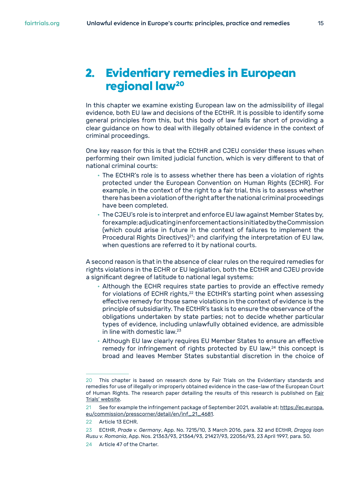## <span id="page-14-0"></span>**2. Evidentiary remedies in European regional law20**

In this chapter we examine existing European law on the admissibility of illegal evidence, both EU law and decisions of the ECtHR. It is possible to identify some general principles from this, but this body of law falls far short of providing a clear guidance on how to deal with illegally obtained evidence in the context of criminal proceedings.

One key reason for this is that the ECtHR and CJEU consider these issues when performing their own limited judicial function, which is very different to that of national criminal courts:

- The ECtHR's role is to assess whether there has been a violation of rights protected under the European Convention on Human Rights (ECHR). For example, in the context of the right to a fair trial, this is to assess whether there has been a violation of the right after the national criminal proceedings have been completed.
- The CJEU's role is to interpret and enforce EU law against Member States by, for example: adjudicating in enforcement actions initiated by the Commission (which could arise in future in the context of failures to implement the Procedural Rights Directives)<sup>21</sup>; and clarifying the interpretation of EU law, when questions are referred to it by national courts.

A second reason is that in the absence of clear rules on the required remedies for rights violations in the ECHR or EU legislation, both the ECtHR and CJEU provide a significant degree of latitude to national legal systems:

- Although the ECHR requires state parties to provide an effective remedy for violations of ECHR rights,<sup>22</sup> the ECtHR's starting point when assessing effective remedy for those same violations in the context of evidence is the principle of subsidiarity. The ECtHR's task is to ensure the observance of the obligations undertaken by state parties; not to decide whether particular types of evidence, including unlawfully obtained evidence, are admissible in line with domestic law.<sup>23</sup>
- Although EU law clearly requires EU Member States to ensure an effective remedy for infringement of rights protected by EU law,<sup>24</sup> this concept is broad and leaves Member States substantial discretion in the choice of

<sup>20</sup> This chapter is based on research done by Fair Trials on the Evidentiary standards and remedies for use of illegally or improperly obtained evidence in the case-law of the European Court of Human Rights. The research paper detailing the results of this research is published on [Fair](https://www.fairtrials.org/sites/default/files/Evidentiary_standards_ECHR.pdf)  [Trials' website](https://www.fairtrials.org/sites/default/files/Evidentiary_standards_ECHR.pdf).

<sup>21</sup> See for example the infringement package of September 2021, available at: [https://ec.europa.](https://ec.europa.eu/commission/presscorner/detail/en/inf_21_4681) [eu/commission/presscorner/detail/en/inf\\_21\\_4681](https://ec.europa.eu/commission/presscorner/detail/en/inf_21_4681).

<sup>22</sup> Article 13 ECHR.

<sup>23</sup> ECtHR, *Prade v. Germany*, App. No. 7215/10, 3 March 2016, para. 32 and ECtHR, *Dragoş Ioan Rusu v. Romania*, App. Nos. 21363/93, 21364/93, 21427/93, 22056/93, 23 April 1997, para. 50.

<sup>24</sup> Article 47 of the Charter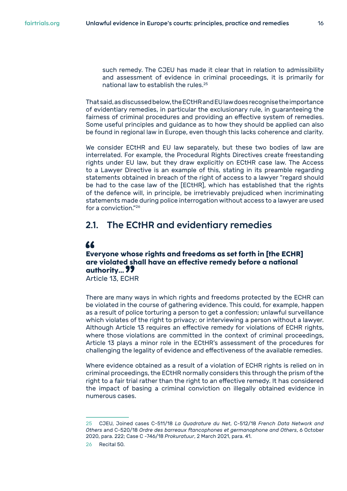<span id="page-15-0"></span>such remedy. The CJEU has made it clear that in relation to admissibility and assessment of evidence in criminal proceedings, it is primarily for national law to establish the rules.<sup>25</sup>

That said, as discussed below, the ECtHR and EU law does recognise the importance of evidentiary remedies, in particular the exclusionary rule, in guaranteeing the fairness of criminal procedures and providing an effective system of remedies. Some useful principles and guidance as to how they should be applied can also be found in regional law in Europe, even though this lacks coherence and clarity.

We consider ECtHR and EU law separately, but these two bodies of law are interrelated. For example, the Procedural Rights Directives create freestanding rights under EU law, but they draw explicitly on ECtHR case law. The Access to a Lawyer Directive is an example of this, stating in its preamble regarding statements obtained in breach of the right of access to a lawyer "regard should be had to the case law of the [ECtHR], which has established that the rights of the defence will, in principle, be irretrievably prejudiced when incriminating statements made during police interrogation without access to a lawyer are used for a conviction."26

### **2.1. The ECtHR and evidentiary remedies**

#### "

#### **Everyone whose rights and freedoms as set forth in [the ECHR] are violated shall have an effective remedy before a national authority…**

Article 13, ECHR

There are many ways in which rights and freedoms protected by the ECHR can be violated in the course of gathering evidence. This could, for example, happen as a result of police torturing a person to get a confession; unlawful surveillance which violates of the right to privacy; or interviewing a person without a lawyer. Although Article 13 requires an effective remedy for violations of ECHR rights, where those violations are committed in the context of criminal proceedings, Article 13 plays a minor role in the ECtHR's assessment of the procedures for challenging the legality of evidence and effectiveness of the available remedies.

Where evidence obtained as a result of a violation of ECHR rights is relied on in criminal proceedings, the ECtHR normally considers this through the prism of the right to a fair trial rather than the right to an effective remedy. It has considered the impact of basing a criminal conviction on illegally obtained evidence in numerous cases.

<sup>25</sup> CJEU, Joined cases C-511/18 *La Quadrature du Net*, C-512/18 *French Data Network and Others* and C-520/18 *Ordre des barreaux ftancophones et germanophone and Others*, 6 October 2020, para. 222; Case C -746/18 *Prokuratuur*, 2 March 2021, para. 41.

<sup>26</sup> Recital 50.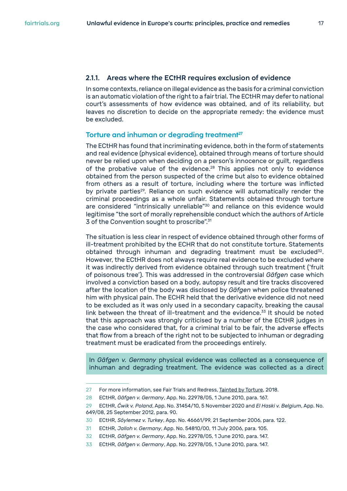#### <span id="page-16-0"></span>**2.1.1. Areas where the ECtHR requires exclusion of evidence**

In some contexts, reliance on illegal evidence as the basis for a criminal conviction is an automatic violation of the right to a fair trial. The ECtHR may defer to national court's assessments of how evidence was obtained, and of its reliability, but leaves no discretion to decide on the appropriate remedy: the evidence must be excluded.

#### **Torture and inhuman or degrading treatment27**

The ECtHR has found that incriminating evidence, both in the form of statements and real evidence (physical evidence), obtained through means of torture should never be relied upon when deciding on a person's innocence or guilt, regardless of the probative value of the evidence.<sup>28</sup> This applies not only to evidence obtained from the person suspected of the crime but also to evidence obtained from others as a result of torture, including where the torture was inflicted by private parties<sup>29</sup>. Reliance on such evidence will automatically render the criminal proceedings as a whole unfair. Statements obtained through torture are considered "intrinsically unreliable"<sup>30</sup> and reliance on this evidence would legitimise "the sort of morally reprehensible conduct which the authors of Article 3 of the Convention sought to proscribe".<sup>31</sup>

The situation is less clear in respect of evidence obtained through other forms of ill-treatment prohibited by the ECHR that do not constitute torture. Statements obtained through inhuman and degrading treatment must be excluded $32$ . However, the ECtHR does not always require real evidence to be excluded where it was indirectly derived from evidence obtained through such treatment ('fruit of poisonous tree'). This was addressed in the controversial *Gäfgen* case which involved a conviction based on a body, autopsy result and tire tracks discovered after the location of the body was disclosed by *Gäfgen* when police threatened him with physical pain. The ECHR held that the derivative evidence did not need to be excluded as it was only used in a secondary capacity, breaking the causal link between the threat of ill-treatment and the evidence.<sup>33</sup> It should be noted that this approach was strongly criticised by a number of the ECtHR judges in the case who considered that, for a criminal trial to be fair, the adverse effects that flow from a breach of the right not to be subjected to inhuman or degrading treatment must be eradicated from the proceedings entirely.

In *Gäfgen v. Germany* physical evidence was collected as a consequence of inhuman and degrading treatment. The evidence was collected as a direct

<sup>27</sup> For more information, see Fair Trials and Redress, [Tainted by Torture](https://www.fairtrials.org/publication/tainted-torture), 2018.

<sup>28</sup> ECtHR, *Gäfgen v. Germany*, App. No. 22978/05, 1 June 2010, para. 167.

<sup>29</sup> ECtHR, *Ćwik v. Poland*, App. No. 31454/10, 5 November 2020 and *El Haski v. Belgium*, App. No. 649/08, 25 September 2012, para. 90.

<sup>30</sup> ECtHR, *Söylemez v. Turkey*, App. No. 46661/99, 21 September 2006, para. 122.

<sup>31</sup> ECtHR, *Jalloh v. Germany*, App. No. 54810/00, 11 July 2006, para. 105.

<sup>32</sup> ECtHR, *Gäfgen v. Germany*, App. No. 22978/05, 1 June 2010, para. 147.

<sup>33</sup> ECtHR, *Gäfgen v. Germany*, App. No. 22978/05, 1 June 2010, para. 147.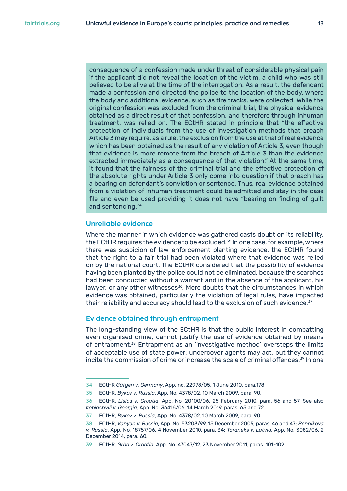consequence of a confession made under threat of considerable physical pain if the applicant did not reveal the location of the victim, a child who was still believed to be alive at the time of the interrogation. As a result, the defendant made a confession and directed the police to the location of the body, where the body and additional evidence, such as tire tracks, were collected. While the original confession was excluded from the criminal trial, the physical evidence obtained as a direct result of that confession, and therefore through inhuman treatment, was relied on. The ECtHR stated in principle that "the effective protection of individuals from the use of investigation methods that breach Article 3 may require, as a rule, the exclusion from the use at trial of real evidence which has been obtained as the result of any violation of Article 3, even though that evidence is more remote from the breach of Article 3 than the evidence extracted immediately as a consequence of that violation." At the same time, it found that the fairness of the criminal trial and the effective protection of the absolute rights under Article 3 only come into question if that breach has a bearing on defendant's conviction or sentence. Thus, real evidence obtained from a violation of inhuman treatment could be admitted and stay in the case file and even be used providing it does not have "bearing on finding of guilt and sentencing.<sup>34</sup>

#### **Unreliable evidence**

Where the manner in which evidence was gathered casts doubt on its reliability, the ECtHR requires the evidence to be excluded.<sup>35</sup> In one case, for example, where there was suspicion of law-enforcement planting evidence, the ECtHR found that the right to a fair trial had been violated where that evidence was relied on by the national court. The ECtHR considered that the possibility of evidence having been planted by the police could not be eliminated, because the searches had been conducted without a warrant and in the absence of the applicant, his lawyer, or any other witnesses<sup>36</sup>. Mere doubts that the circumstances in which evidence was obtained, particularly the violation of legal rules, have impacted their reliability and accuracy should lead to the exclusion of such evidence.<sup>37</sup>

#### **Evidence obtained through entrapment**

The long-standing view of the ECtHR is that the public interest in combatting even organised crime, cannot justify the use of evidence obtained by means of entrapment.<sup>38</sup> Entrapment as an 'investigative method' oversteps the limits of acceptable use of state power: undercover agents may act, but they cannot incite the commission of crime or increase the scale of criminal offences.<sup>39</sup> In one

<sup>34</sup> ECtHR *Gäfgen v. Germany*, App. no. 22978/05, 1 June 2010, para.178.

<sup>35</sup> ECtHR, *Bykov v. Russia*, App. No. 4378/02, 10 March 2009, para. 90.

<sup>36</sup> ECtHR, *Lisica v. Croatia*, App. No. 20100/06, 25 February 2010, para. 56 and 57. See also *Kobiashvili v. Georgia*, App. No. 36416/06, 14 March 2019, paras. 65 and 72.

<sup>37</sup> ECtHR, *Bykov v. Russia*, App. No. 4378/02, 10 March 2009, para. 90.

<sup>38</sup> ECtHR, *Vanyan v. Russia*, App. No. 53203/99, 15 December 2005, paras. 46 and 47; *Bannikova v. Russia*, App. No. 18757/06, 4 November 2010, para. 34; *Taraneks v. Latvia*, App. No. 3082/06, 2 December 2014, para. 60.

<sup>39</sup> ECtHR, *Grba v. Croatia*, App. No. 47047/12, 23 November 2011, paras. 101-102.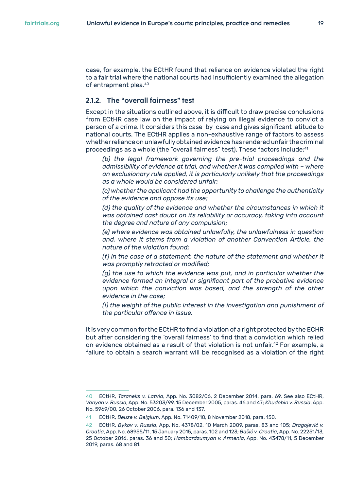<span id="page-18-0"></span>case, for example, the ECtHR found that reliance on evidence violated the right to a fair trial where the national courts had insufficiently examined the allegation of entrapment plea.<sup>40</sup>

#### **2.1.2. The "overall fairness" test**

Except in the situations outlined above, it is difficult to draw precise conclusions from ECtHR case law on the impact of relying on illegal evidence to convict a person of a crime. It considers this case-by-case and gives significant latitude to national courts. The ECtHR applies a non-exhaustive range of factors to assess whether reliance on unlawfully obtained evidence has rendered unfair the criminal proceedings as a whole (the "overall fairness" test). These factors include:<sup>41</sup>

*(b) the legal framework governing the pre-trial proceedings and the admissibility of evidence at trial, and whether it was complied with – where an exclusionary rule applied, it is particularly unlikely that the proceedings as a whole would be considered unfair;*

*(c) whether the applicant had the opportunity to challenge the authenticity of the evidence and oppose its use;*

*(d) the quality of the evidence and whether the circumstances in which it was obtained cast doubt on its reliability or accuracy, taking into account the degree and nature of any compulsion;*

*(e) where evidence was obtained unlawfully, the unlawfulness in question and, where it stems from a violation of another Convention Article, the nature of the violation found;*

*(f) in the case of a statement, the nature of the statement and whether it was promptly retracted or modified;*

*(g) the use to which the evidence was put, and in particular whether the evidence formed an integral or significant part of the probative evidence upon which the conviction was based, and the strength of the other evidence in the case;*

*(i) the weight of the public interest in the investigation and punishment of the particular offence in issue.*

It is very common for the ECtHR to find a violation of a right protected by the ECHR but after considering the 'overall fairness' to find that a conviction which relied on evidence obtained as a result of that violation is not unfair.<sup>42</sup> For example, a failure to obtain a search warrant will be recognised as a violation of the right

<sup>40</sup> ECtHR, *Taraneks v. Latvia*, App. No. 3082/06, 2 December 2014, para. 69. See also ECtHR, *Vanyan v. Russia*, App. No. 53203/99, 15 December 2005, paras. 46 and 47; *Khudobin v. Russia*, App. No. 5969/00, 26 October 2006, para. 136 and 137.

<sup>41</sup> ECtHR, *Beuze v. Belgium*, App. No. 71409/10, 8 November 2018, para. 150.

<sup>42</sup> ECtHR, *Bykov v. Russia*, App. No. 4378/02, 10 March 2009, paras. 83 and 105; *Dragojević v. Croatia*, App. No. 68955/11, 15 January 2015, paras. 102 and 123; *Bašić v. Croatia*, App. No. 22251/13, 25 October 2016, paras. 36 and 50; *Hambardzumyan v. Armenia*, App. No. 43478/11, 5 December 2019, paras. 68 and 81.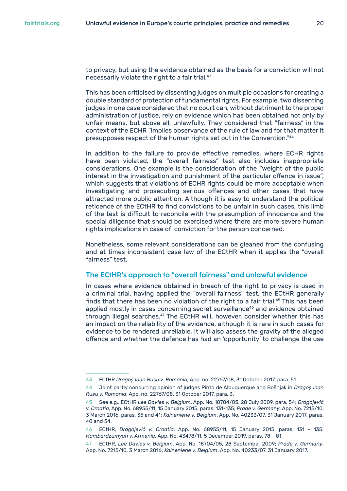to privacy, but using the evidence obtained as the basis for a conviction will not necessarily violate the right to a fair trial.<sup>43</sup>

This has been criticised by dissenting judges on multiple occasions for creating a double standard of protection of fundamental rights. For example, two dissenting judges in one case considered that no court can, without detriment to the proper administration of justice, rely on evidence which has been obtained not only by unfair means, but above all, unlawfully. They considered that "fairness" in the context of the ECHR "implies observance of the rule of law and for that matter it presupposes respect of the human rights set out in the Convention."<sup>44</sup>

In addition to the failure to provide effective remedies, where ECHR rights have been violated, the "overall fairness" test also includes inappropriate considerations. One example is the consideration of the "weight of the public interest in the investigation and punishment of the particular offence in issue", which suggests that violations of ECHR rights could be more acceptable when investigating and prosecuting serious offences and other cases that have attracted more public attention. Although it is easy to understand the political reticence of the ECtHR to find convictions to be unfair in such cases, this limb of the test is difficult to reconcile with the presumption of innocence and the special diligence that should be exercised where there are more severe human rights implications in case of conviction for the person concerned.

Nonetheless, some relevant considerations can be gleaned from the confusing and at times inconsistent case law of the ECtHR when it applies the "overall fairness" test.

#### **The ECtHR's approach to "overall fairness" and unlawful evidence**

In cases where evidence obtained in breach of the right to privacy is used in a criminal trial, having applied the "overall fairness" test, the ECtHR generally finds that there has been no violation of the right to a fair trial.<sup>45</sup> This has been applied mostly in cases concerning secret surveillance<sup>46</sup> and evidence obtained through illegal searches.<sup>47</sup> The ECtHR will, however, consider whether this has an impact on the reliability of the evidence, although it is rare in such cases for evidence to be rendered unreliable. It will also assess the gravity of the alleged offence and whether the defence has had an 'opportunity' to challenge the use

<sup>43</sup> ECtHR *Dragoş Ioan Rusu v. Romania*, App. no. 22767/08, 31 October 2017, para. 51.

<sup>44</sup> Joint partly concurring opinion of judges Pinto de Albuquerque and Bošnjak in *Dragoş Ioan Rusu v. Romania*, App. no. 22767/08, 31 October 2017, para. 3.

<sup>45</sup> See e.g., ECtHR *Lee Davies v. Belgium*, App. No, 18704/05, 28 July 2009, para. 54; *Dragojević v. Croatia*, App. No. 68955/11, 15 January 2015, paras. 131-135; *Prade v. Germany*, App. No. 7215/10, 3 March 2016, paras. 35 and 41; *Kalneniene v. Belgium*, App. No. 40233/07, 31 January 2017, paras. 40 and 54.

<sup>46</sup> ECtHR, *Dragojević v. Croatia*, App. No. 68955/11, 15 January 2015, paras. 131 – 135; *Hambardzumyan v. Armenia*, App. No. 43478/11, 5 December 2019, paras. 78 – 81.

<sup>47</sup> ECtHR, *Lee Davies v. Belgium*, App. No. 18704/05, 28 September 2009; *Prade v. Germany*, App. No. 7215/10, 3 March 2016; *Kalneniene v. Belgium*, App. No. 40233/07, 31 January 2017.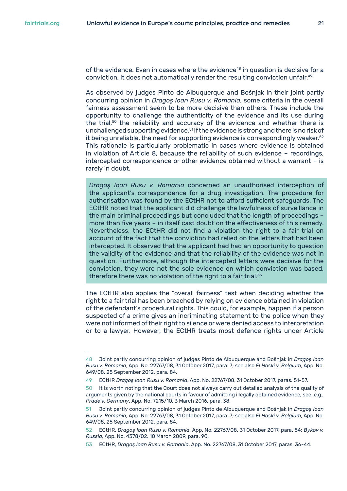of the evidence. Even in cases where the evidence<sup>48</sup> in question is decisive for a conviction, it does not automatically render the resulting conviction unfair.<sup>49</sup>

As observed by judges Pinto de Albuquerque and Bošnjak in their joint partly concurring opinion in *Dragoş Ioan Rusu v. Romania*, some criteria in the overall fairness assessment seem to be more decisive than others. These include the opportunity to challenge the authenticity of the evidence and its use during the trial,<sup>50</sup> the reliability and accuracy of the evidence and whether there is unchallenged supporting evidence.<sup>51</sup> If the evidence is strong and there is no risk of it being unreliable, the need for supporting evidence is correspondingly weaker. $52$ This rationale is particularly problematic in cases where evidence is obtained in violation of Article 8, because the reliability of such evidence – recordings, intercepted correspondence or other evidence obtained without a warrant – is rarely in doubt.

*Dragoş Ioan Rusu v. Romania* concerned an unauthorised interception of the applicant's correspondence for a drug investigation. The procedure for authorisation was found by the ECtHR not to afford sufficient safeguards. The ECtHR noted that the applicant did challenge the lawfulness of surveillance in the main criminal proceedings but concluded that the length of proceedings – more than five years – in itself cast doubt on the effectiveness of this remedy. Nevertheless, the ECtHR did not find a violation the right to a fair trial on account of the fact that the conviction had relied on the letters that had been intercepted. It observed that the applicant had had an opportunity to question the validity of the evidence and that the reliability of the evidence was not in question. Furthermore, although the intercepted letters were decisive for the conviction, they were not the sole evidence on which conviction was based, therefore there was no violation of the right to a fair trial. $53$ 

The ECtHR also applies the "overall fairness" test when deciding whether the right to a fair trial has been breached by relying on evidence obtained in violation of the defendant's procedural rights. This could, for example, happen if a person suspected of a crime gives an incriminating statement to the police when they were not informed of their right to silence or were denied access to interpretation or to a lawyer. However, the ECtHR treats most defence rights under Article

<sup>48</sup> Joint partly concurring opinion of judges Pinto de Albuquerque and Bošnjak in *Dragoş Ioan Rusu v. Romania*, App. No. 22767/08, 31 October 2017, para. 7; see also *El Haski v. Belgium*, App. No. 649/08, 25 September 2012, para. 84.

<sup>49</sup> ECtHR *Dragoş Ioan Rusu v. Romania*, App. No. 22767/08, 31 October 2017, paras. 51-57.

<sup>50</sup> It is worth noting that the Court does not always carry out detailed analysis of the quality of arguments given by the national courts in favour of admitting illegally obtained evidence, see. e.g., *Prade v. Germany*, App. No. 7215/10, 3 March 2016, para. 38.

<sup>51</sup> Joint partly concurring opinion of judges Pinto de Albuquerque and Bošnjak in *Dragoş Ioan Rusu v. Romania*, App. No. 22767/08, 31 October 2017, para. 7; see also *El Haski v. Belgium*, App. No. 649/08, 25 September 2012, para. 84.

<sup>52</sup> ECtHR, *Dragoş Ioan Rusu v. Romania*, App. No. 22767/08, 31 October 2017, para. 54; *Bykov v. Russia*, App. No. 4378/02, 10 March 2009, para. 90.

<sup>53</sup> ECtHR, *Dragoş Ioan Rusu v. Romania*, App. No. 22767/08, 31 October 2017, paras. 36-44.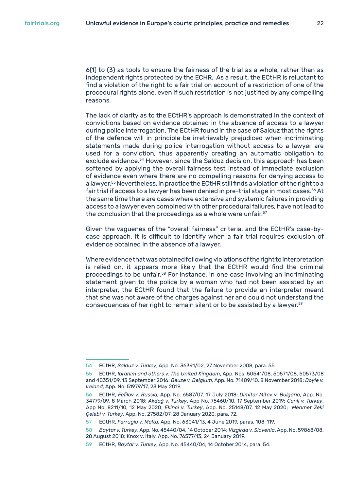6(1) to (3) as tools to ensure the fairness of the trial as a whole, rather than as independent rights protected by the ECHR. As a result, the ECtHR is reluctant to find a violation of the right to a fair trial on account of a restriction of one of the procedural rights alone, even if such restriction is not justified by any compelling reasons.

The lack of clarity as to the ECtHR's approach is demonstrated in the context of convictions based on evidence obtained in the absence of access to a lawyer during police interrogation. The ECtHR found in the case of Salduz that the rights of the defence will in principle be irretrievably prejudiced when incriminating statements made during police interrogation without access to a lawyer are used for a conviction, thus apparently creating an automatic obligation to exclude evidence.<sup>54</sup> However, since the Salduz decision, this approach has been softened by applying the overall fairness test instead of immediate exclusion of evidence even where there are no compelling reasons for denying access to a lawyer.<sup>55</sup> Nevertheless, in practice the ECtHR still finds a violation of the right to a fair trial if access to a lawyer has been denied in pre-trial stage in most cases.<sup>56</sup> At the same time there are cases where extensive and systemic failures in providing access to a lawyer even combined with other procedural failures, have not lead to the conclusion that the proceedings as a whole were unfair.<sup>57</sup>

Given the vaguenes of the "overall fairness" criteria, and the ECtHR's case-bycase approach, it is difficult to identify when a fair trial requires exclusion of evidence obtained in the absence of a lawyer.

Where evidence that was obtained following violations of the right to interpretation is relied on, it appears more likely that the ECtHR would find the criminal proceedings to be unfair.<sup>58</sup> For instance, in one case involving an incriminating statement given to the police by a woman who had not been assisted by an interpreter, the ECtHR found that the failure to provide an interpreter meant that she was not aware of the charges against her and could not understand the consequences of her right to remain silent or to be assisted by a lawyer.<sup>59</sup>

<sup>54</sup> ECtHR, *Salduz v. Turkey*, App. No. 36391/02, 27 November 2008, para. 55.

<sup>55</sup> ECtHR, *Ibrahim and others v. The United Kingdom*, App. Nos. 50541/08, 50571/08, 50573/08 and 40351/09, 13 September 2016; *Beuze v. Belgium*, App. No. 71409/10, 8 November 2018; *Doyle v. Ireland*, App. No. 51979/17, 23 May 2019.

<sup>56</sup> ECtHR, *Fefilov v. Russia*, App. No. 6587/07, 17 July 2018; *Dimitar Mitev v. Bulgaria*, App. No. 34779/09, 8 March 2018; *Akdağ v. Turkey*, App No. 75460/10, 17 September 2019; *Canli v. Turkey*, App No. 8211/10, 12 May 2020; *Ekinci v. Turkey*, App. No. 25148/07, 12 May 2020; *Mehmet Zeki Çelebi v. Turkey*, App. No. 27582/07, 28 January 2020, para. 72.

<sup>57</sup> ECtHR, *Farrugia v. Malta*, App. No. 63041/13, 4 June 2019, paras. 108-119.

<sup>58</sup> *Baytar v. Turkey*, App. No. 45440/04, 14 October 2014; *Vizgirda v. Slovenia*, App. No. 59868/08, 28 August 2018; Knox v. Italy, App. No. 76577/13, 24 January 2019.

<sup>59</sup> ECtHR, *Baytar v. Turkey*, App. No. 45440/04, 14 October 2014, para. 54.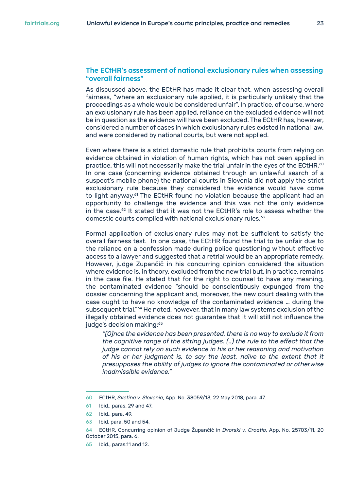#### **The ECtHR's assessment of national exclusionary rules when assessing "overall fairness"**

As discussed above, the ECtHR has made it clear that, when assessing overall fairness, "where an exclusionary rule applied, it is particularly unlikely that the proceedings as a whole would be considered unfair". In practice, of course, where an exclusionary rule has been applied, reliance on the excluded evidence will not be in question as the evidence will have been excluded. The ECtHR has, however, considered a number of cases in which exclusionary rules existed in national law, and were considered by national courts, but were not applied.

Even where there is a strict domestic rule that prohibits courts from relying on evidence obtained in violation of human rights, which has not been applied in practice, this will not necessarily make the trial unfair in the eyes of the ECtHR. $60$ In one case (concerning evidence obtained through an unlawful search of a suspect's mobile phone) the national courts in Slovenia did not apply the strict exclusionary rule because they considered the evidence would have come to light anyway.<sup>61</sup> The ECtHR found no violation because the applicant had an opportunity to challenge the evidence and this was not the only evidence in the case.<sup>62</sup> It stated that it was not the ECtHR's role to assess whether the domestic courts complied with national exclusionary rules.<sup>63</sup>

Formal application of exclusionary rules may not be sufficient to satisfy the overall fairness test. In one case, the ECtHR found the trial to be unfair due to the reliance on a confession made during police questioning without effective access to a lawyer and suggested that a retrial would be an appropriate remedy. However, judge Zupančič in his concurring opinion considered the situation where evidence is, in theory, excluded from the new trial but, in practice, remains in the case file. He stated that for the right to counsel to have any meaning, the contaminated evidence "should be conscientiously expunged from the dossier concerning the applicant and, moreover, the new court dealing with the case ought to have no knowledge of the contaminated evidence … during the subsequent trial."64 He noted, however, that in many law systems exclusion of the illegally obtained evidence does not guarantee that it will still not influence the judge's decision making:<sup>65</sup>

*"[O]nce the evidence has been presented, there is no way to exclude it from the cognitive range of the sitting judges. (..) the rule to the effect that the judge cannot rely on such evidence in his or her reasoning and motivation of his or her judgment is, to say the least, naïve to the extent that it presupposes the ability of judges to ignore the contaminated or otherwise inadmissible evidence."*

<sup>60</sup> ECtHR, *Svetina v. Slovenia*, App. No. 38059/13, 22 May 2018, para. 47.

<sup>61</sup> Ibid., paras. 29 and 47.

<sup>62</sup> Ibid., para. 49.

<sup>63</sup> Ibid. para. 50 and 54.

<sup>64</sup> ECtHR, Concurring opinion of Judge Župančič in *Dvorski v. Croatia*, App. No. 25703/11, 20 October 2015, para. 6.

<sup>65</sup> Ibid., paras.11 and 12.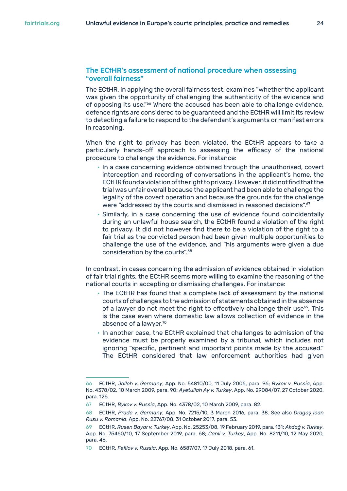#### **The ECtHR's assessment of national procedure when assessing "overall fairness"**

The ECtHR, in applying the overall fairness test, examines "whether the applicant was given the opportunity of challenging the authenticity of the evidence and of opposing its use."<sup>66</sup> Where the accused has been able to challenge evidence, defence rights are considered to be guaranteed and the ECtHR will limit its review to detecting a failure to respond to the defendant's arguments or manifest errors in reasoning.

When the right to privacy has been violated, the ECtHR appears to take a particularly hands-off approach to assessing the efficacy of the national procedure to challenge the evidence. For instance:

- In a case concerning evidence obtained through the unauthorised, covert interception and recording of conversations in the applicant's home, the ECtHR found a violation of the right to privacy. However, it did not find that the trial was unfair overall because the applicant had been able to challenge the legality of the covert operation and because the grounds for the challenge were "addressed by the courts and dismissed in reasoned decisions".<sup>67</sup>
- Similarly, in a case concerning the use of evidence found coincidentally during an unlawful house search, the ECtHR found a violation of the right to privacy. It did not however find there to be a violation of the right to a fair trial as the convicted person had been given multiple opportunities to challenge the use of the evidence, and "his arguments were given a due consideration by the courts".<sup>68</sup>

In contrast, in cases concerning the admission of evidence obtained in violation of fair trial rights, the ECtHR seems more willing to examine the reasoning of the national courts in accepting or dismissing challenges. For instance:

- The ECtHR has found that a complete lack of assessment by the national courts of challenges to the admission of statements obtained in the absence of a lawyer do not meet the right to effectively challenge their use<sup>69</sup>. This is the case even where domestic law allows collection of evidence in the absence of a lawyer.70
- In another case, the ECtHR explained that challenges to admission of the evidence must be properly examined by a tribunal, which includes not ignoring "specific, pertinent and important points made by the accused." The ECtHR considered that law enforcement authorities had given

<sup>66</sup> ECtHR, *Jalloh v. Germany*, App. No. 54810/00, 11 July 2006, para. 96; *Bykov v. Russia*, App. No. 4378/02, 10 March 2009, para. 90; *Ayetullah Ay v. Turkey*, App. No. 29084/07, 27 October 2020, para. 126.

<sup>67</sup> ECtHR, *Bykov v. Russia*, App. No. 4378/02, 10 March 2009, para. 82.

<sup>68</sup> ECtHR, *Prade v. Germany*, App. No. 7215/10, 3 March 2016, para. 38. See also *Dragoş Ioan Rusu v. Romania*, App. No. 22767/08, 31 October 2017, para. 53.

<sup>69</sup> ECtHR, *Rusen Bayar v. Turkey*, App. No. 25253/08, 19 February 2019, para. 131; *Akdağ v. Turkey*, App. No. 75460/10, 17 September 2019, para. 68; *Canli v. Turkey*, App. No. 8211/10, 12 May 2020, para. 46.

<sup>70</sup> ECtHR, *Fefilov v. Russia*, App. No. 6587/07, 17 July 2018, para. 61.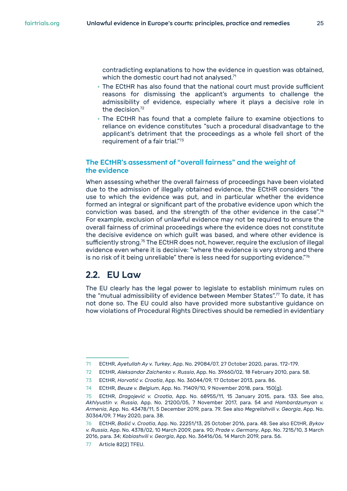<span id="page-24-0"></span>contradicting explanations to how the evidence in question was obtained, which the domestic court had not analysed.<sup>71</sup>

- The ECtHR has also found that the national court must provide sufficient reasons for dismissing the applicant's arguments to challenge the admissibility of evidence, especially where it plays a decisive role in the decision.72
- The ECtHR has found that a complete failure to examine objections to reliance on evidence constitutes "such a procedural disadvantage to the applicant's detriment that the proceedings as a whole fell short of the requirement of a fair trial."73

#### **The ECtHR's assessment of "overall fairness" and the weight of the evidence**

When assessing whether the overall fairness of proceedings have been violated due to the admission of illegally obtained evidence, the ECtHR considers "the use to which the evidence was put, and in particular whether the evidence formed an integral or significant part of the probative evidence upon which the conviction was based, and the strength of the other evidence in the case".74 For example, exclusion of unlawful evidence may not be required to ensure the overall fairness of criminal proceedings where the evidence does not constitute the decisive evidence on which guilt was based, and where other evidence is sufficiently strong.75 The ECtHR does not, however, require the exclusion of illegal evidence even where it is decisive: "where the evidence is very strong and there is no risk of it being unreliable" there is less need for supporting evidence."<sup>76</sup>

### **2.2. EU Law**

The EU clearly has the legal power to legislate to establish minimum rules on the "mutual admissibility of evidence between Member States".77 To date, it has not done so. The EU could also have provided more substantive guidance on how violations of Procedural Rights Directives should be remedied in evidentiary

<sup>71</sup> ECtHR, *Ayetullah Ay v. Turkey*, App. No. 29084/07, 27 October 2020, paras. 172-179.

<sup>72</sup> ECtHR, *Aleksandar Zaichenko v. Russia*, App. No. 39660/02, 18 February 2010, para. 58.

<sup>73</sup> ECtHR, *Horvatić v. Croatia*, App. No. 36044/09, 17 October 2013, para. 86.

<sup>74</sup> ECtHR, *Beuze v. Belgium*, App. No. 71409/10, 9 November 2018, para. 150(g).

<sup>75</sup> ECtHR, *Dragojević v. Croatia*, App. No. 68955/11, 15 January 2015, para. 133. See also, *Akhlyustin v. Russia*, App. No. 21200/05, 7 November 2017, para. 54 and *Hambardzumyan v. Armenia*, App. No. 43478/11, 5 December 2019, para. 79. See also *Megrelishvili v. Georgia*, App. No. 30364/09, 7 May 2020, para. 38.

<sup>76</sup> ECtHR, *Bašić v. Croatia*, App. No. 22251/13, 25 October 2016, para. 48. See also ECtHR, *Bykov v. Russia*, App. No. 4378/02, 10 March 2009, para. 90; *Prade v. Germany*, App. No. 7215/10, 3 March 2016, para. 34; *Kobiashvili v. Georgia*, App. No. 36416/06, 14 March 2019, para. 56.

<sup>77</sup> Article 82(2) TFEU.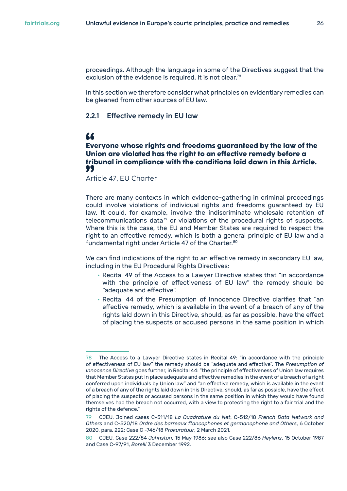<span id="page-25-0"></span>proceedings. Although the language in some of the Directives suggest that the exclusion of the evidence is required, it is not clear.<sup>78</sup>

In this section we therefore consider what principles on evidentiary remedies can be gleaned from other sources of EU law.

#### **2.2.1 Effective remedy in EU law**

### "

**Everyone whose rights and freedoms guaranteed by the law of the Union are violated has the right to an effective remedy before a tribunal in compliance with the conditions laid down in this Article.** 

Article 47, EU Charter

There are many contexts in which evidence-gathering in criminal proceedings could involve violations of individual rights and freedoms guaranteed by EU law. It could, for example, involve the indiscriminate wholesale retention of telecommunications data<sup>79</sup> or violations of the procedural rights of suspects. Where this is the case, the EU and Member States are required to respect the right to an effective remedy, which is both a general principle of EU law and a fundamental right under Article 47 of the Charter.<sup>80</sup>

We can find indications of the right to an effective remedy in secondary EU law, including in the EU Procedural Rights Directives:

- Recital 49 of the Access to a Lawyer Directive states that "in accordance with the principle of effectiveness of EU law" the remedy should be "adequate and effective".
- Recital 44 of the Presumption of Innocence Directive clarifies that "an effective remedy, which is available in the event of a breach of any of the rights laid down in this Directive, should, as far as possible, have the effect of placing the suspects or accused persons in the same position in which

<sup>78</sup> The Access to a Lawyer Directive states in Recital 49: "in accordance with the principle of effectiveness of EU law" the remedy should be "adequate and effective". The *Presumption of Innocence Directive* goes further, in Recital 44: "the principle of effectiveness of Union law requires that Member States put in place adequate and effective remedies in the event of a breach of a right conferred upon individuals by Union law" and "an effective remedy, which is available in the event of a breach of any of the rights laid down in this Directive, should, as far as possible, have the effect of placing the suspects or accused persons in the same position in which they would have found themselves had the breach not occurred, with a view to protecting the right to a fair trial and the rights of the defence."

<sup>79</sup> CJEU, Joined cases C-511/18 *La Quadrature du Net*, C-512/18 *French Data Network and Others* and C-520/18 *Ordre des barreaux ftancophones et germanophone and Others*, 6 October 2020, para. 222; Case C -746/18 *Prokuratuur*, 2 March 2021.

<sup>80</sup> CJEU, Case 222/84 *Johnston*, 15 May 1986; see also Case 222/86 *Heylens*, 15 October 1987 and Case C-97/91, *Borelli* 3 December 1992.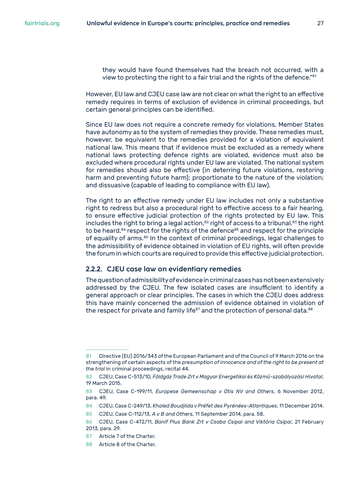<span id="page-26-0"></span>they would have found themselves had the breach not occurred, with a view to protecting the right to a fair trial and the rights of the defence."<sup>81</sup>

However, EU law and CJEU case law are not clear on what the right to an effective remedy requires in terms of exclusion of evidence in criminal proceedings, but certain general principles can be identified.

Since EU law does not require a concrete remedy for violations, Member States have autonomy as to the system of remedies they provide. These remedies must, however, be equivalent to the remedies provided for a violation of equivalent national law. This means that if evidence must be excluded as a remedy where national laws protecting defence rights are violated, evidence must also be excluded where procedural rights under EU law are violated. The national system for remedies should also be effective (in deterring future violations, restoring harm and preventing future harm); proportionate to the nature of the violation; and dissuasive (capable of leading to compliance with EU law).

The right to an effective remedy under EU law includes not only a substantive right to redress but also a procedural right to effective access to a fair hearing, to ensure effective judicial protection of the rights protected by EU law. This includes the right to bring a legal action, $82$  right of access to a tribunal, $83$  the right to be heard,<sup>84</sup> respect for the rights of the defence<sup>85</sup> and respect for the principle of equality of arms.86 In the context of criminal proceedings, legal challenges to the admissibility of evidence obtained in violation of EU rights, will often provide the forum in which courts are required to provide this effective judicial protection.

#### **2.2.2. CJEU case law on evidentiary remedies**

The question of admissibility of evidence in criminal cases has not been extensively addressed by the CJEU. The few isolated cases are insufficient to identify a general approach or clear principles. The cases in which the CJEU does address this have mainly concerned the admission of evidence obtained in violation of the respect for private and family life $87$  and the protection of personal data. $88$ 

<sup>81</sup> Directive (EU) 2016/343 of the European Parliament and of the Council of 9 March 2016 on the strengthening of certain aspects of the *presumption of innocence and of the right to be present at the trial* in criminal proceedings, recital 44.

<sup>82</sup> CJEU, Case C-513/10, *Földgáz Trade Zrt v Magyar Energetikai* és *Közmű-szabályozási Hivatal*, 19 March 2015.

<sup>83</sup> CJEU, Case C-199/11, *Europese Gemeenschap v Otis NV and Others*, 6 November 2012, para. 49.

<sup>84</sup> CJEU, Case C-249/13, *Khaled Boudjlida v Préfet des Pyrénées-Atlantiques*, 11 December 2014.

<sup>85</sup> CJEU, Case C-112/13, *A v B and Others*, 11 September 2014, para. 58.

<sup>86</sup> CJEU, Case C-472/11, *Banif Plus Bank Zrt v Csaba Csipai and Viktória Csipai*, 21 February 2013, para. 29.

<sup>87</sup> Article 7 of the Charter.

<sup>88</sup> Article 8 of the Charter.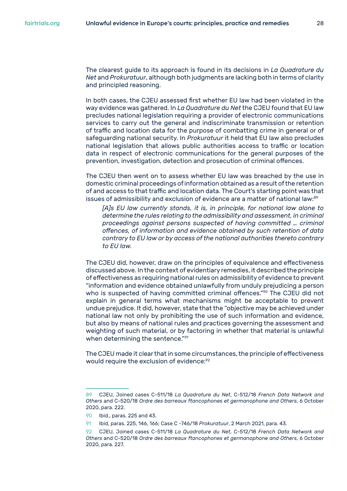The clearest guide to its approach is found in its decisions in *La Quadrature du Net* and *Prokuratuur*, although both judgments are lacking both in terms of clarity and principled reasoning.

In both cases, the CJEU assessed first whether EU law had been violated in the way evidence was gathered. In *La Quadrature du Net* the CJEU found that EU law precludes national legislation requiring a provider of electronic communications services to carry out the general and indiscriminate transmission or retention of traffic and location data for the purpose of combatting crime in general or of safeguarding national security. In *Prokuratuur* it held that EU law also precludes national legislation that allows public authorities access to traffic or location data in respect of electronic communications for the general purposes of the prevention, investigation, detection and prosecution of criminal offences.

The CJEU then went on to assess whether EU law was breached by the use in domestic criminal proceedings of information obtained as a result of the retention of and access to that traffic and location data. The Court's starting point was that issues of admissibility and exclusion of evidence are a matter of national law:<sup>89</sup>

*[A]s EU law currently stands, it is, in principle, for national law alone to determine the rules relating to the admissibility and assessment, in criminal proceedings against persons suspected of having committed … criminal offences, of information and evidence obtained by such retention of data contrary to EU law or by access of the national authorities thereto contrary to EU law.*

The CJEU did, however, draw on the principles of equivalence and effectiveness discussed above. In the context of evidentiary remedies, it described the principle of effectiveness as requiring national rules on admissibility of evidence to prevent "information and evidence obtained unlawfully from unduly prejudicing a person who is suspected of having committed criminal offences."<sup>90</sup> The CJEU did not explain in general terms what mechanisms might be acceptable to prevent undue prejudice. It did, however, state that the "objective may be achieved under national law not only by prohibiting the use of such information and evidence, but also by means of national rules and practices governing the assessment and weighting of such material, or by factoring in whether that material is unlawful when determining the sentence."*<sup>91</sup>*

The CJEU made it clear that in some circumstances, the principle of effectiveness would require the exclusion of evidence:<sup>92</sup>

<sup>89</sup> CJEU, Joined cases C-511/18 *La Quadrature du Net*, C-512/18 *French Data Network and Others* and C-520/18 *Ordre des barreaux ftancophones et germanophone and Others*, 6 October 2020, para. 222.

<sup>90</sup> Ibid., paras. 225 and 43.

<sup>91</sup> Ibid, paras. 225, 146, 166; Case C -746/18 *Prokuratuur*, 2 March 2021, para. 43.

<sup>92</sup> CJEU, Joined cases C-511/18 *La Quadrature du Net*, C-512/18 *French Data Network and Others* and C-520/18 *Ordre des barreaux ftancophones et germanophone and Others*, 6 October 2020, para. 227.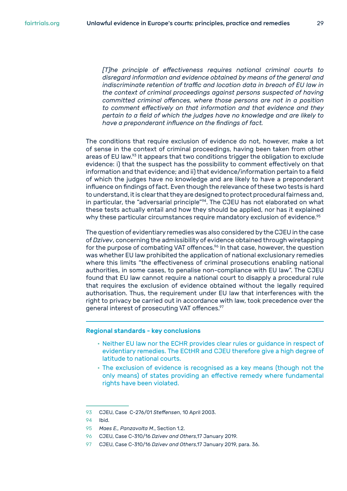*[T]he principle of effectiveness requires national criminal courts to disregard information and evidence obtained by means of the general and indiscriminate retention of traffic and location data in breach of EU law in the context of criminal proceedings against persons suspected of having committed criminal offences, where those persons are not in a position to comment effectively on that information and that evidence and they pertain to a field of which the judges have no knowledge and are likely to have a preponderant influence on the findings of fact.*

The conditions that require exclusion of evidence do not, however, make a lot of sense in the context of criminal proceedings, having been taken from other areas of EU law.<sup>93</sup> It appears that two conditions trigger the obligation to exclude evidence: i) that the suspect has the possibility to comment effectively on that information and that evidence; and ii) that evidence/information pertain to a field of which the judges have no knowledge and are likely to have a preponderant influence on findings of fact. Even though the relevance of these two tests is hard to understand, it is clear that they are designed to protect procedural fairness and, in particular, the "adversarial principle"<sup>94</sup>. The CJEU has not elaborated on what these tests actually entail and how they should be applied, nor has it explained why these particular circumstances require mandatory exclusion of evidence.<sup>95</sup>

The question of evidentiary remedies was also considered by the CJEU in the case of *Dzivev*, concerning the admissibility of evidence obtained through wiretapping for the purpose of combating VAT offences.<sup>96</sup> In that case, however, the question was whether EU law prohibited the application of national exclusionary remedies where this limits "the effectiveness of criminal prosecutions enabling national authorities, in some cases, to penalise non-compliance with EU law". The CJEU found that EU law cannot require a national court to disapply a procedural rule that requires the exclusion of evidence obtained without the legally required authorisation. Thus, the requirement under EU law that interferences with the right to privacy be carried out in accordance with law, took precedence over the general interest of prosecuting VAT offences.<sup>97</sup>

#### Regional standards - key conclusions

- Neither EU law nor the ECHR provides clear rules or guidance in respect of evidentiary remedies. The ECtHR and CJEU therefore give a high degree of latitude to national courts.
- The exclusion of evidence is recognised as a key means (though not the only means) of states providing an effective remedy where fundamental rights have been violated.

<sup>93</sup> CJEU, Case C-276/01 *Steffensen*, 10 April 2003.

<sup>94</sup> Ibid.

<sup>95</sup> *Maes E., Panzavolta M*., Section 1.2.

<sup>96</sup> CJEU, Case C-310/16 *Dzivev and Others*,17 January 2019.

<sup>97</sup> CJEU, Case C-310/16 *Dzivev and Others*,17 January 2019, para. 36.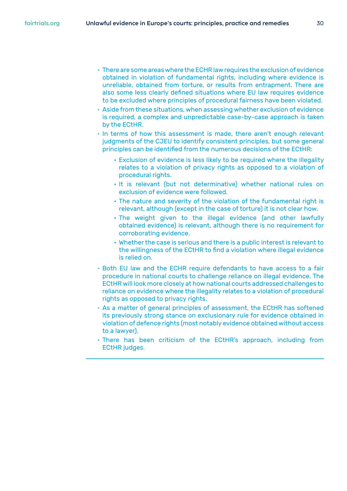- There are some areas where the ECHR law requires the exclusion of evidence obtained in violation of fundamental rights, including where evidence is unreliable, obtained from torture, or results from entrapment. There are also some less clearly defined situations where EU law requires evidence to be excluded where principles of procedural fairness have been violated.
- Aside from these situations, when assessing whether exclusion of evidence is required, a complex and unpredictable case-by-case approach is taken by the ECtHR.
- In terms of how this assessment is made, there aren't enough relevant judgments of the CJEU to identify consistent principles, but some general principles can be identified from the numerous decisions of the ECtHR:
	- Exclusion of evidence is less likely to be required where the illegality relates to a violation of privacy rights as opposed to a violation of procedural rights.
	- It is relevant (but not determinative) whether national rules on exclusion of evidence were followed.
	- The nature and severity of the violation of the fundamental right is relevant, although (except in the case of torture) it is not clear how.
	- The weight given to the illegal evidence (and other lawfully obtained evidence) is relevant, although there is no requirement for corroborating evidence.
	- Whether the case is serious and there is a public interest is relevant to the willingness of the ECtHR to find a violation where illegal evidence is relied on.
- Both EU law and the ECHR require defendants to have access to a fair procedure in national courts to challenge reliance on illegal evidence. The ECtHR will look more closely at how national courts addressed challenges to reliance on evidence where the illegality relates to a violation of procedural rights as opposed to privacy rights.
- As a matter of general principles of assessment, the ECtHR has softened its previously strong stance on exclusionary rule for evidence obtained in violation of defence rights (most notably evidence obtained without access to a lawyer).
- There has been criticism of the ECtHR's approach, including from ECtHR judges.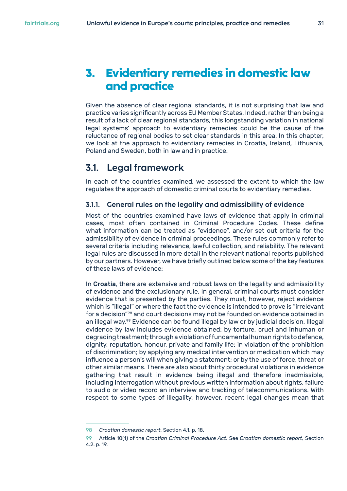## <span id="page-30-0"></span>**3. Evidentiary remedies in domestic law and practice**

Given the absence of clear regional standards, it is not surprising that law and practice varies significantly across EU Member States. Indeed, rather than being a result of a lack of clear regional standards, this longstanding variation in national legal systems' approach to evidentiary remedies could be the cause of the reluctance of regional bodies to set clear standards in this area. In this chapter, we look at the approach to evidentiary remedies in Croatia, Ireland, Lithuania, Poland and Sweden, both in law and in practice.

## **3.1. Legal framework**

In each of the countries examined, we assessed the extent to which the law regulates the approach of domestic criminal courts to evidentiary remedies.

#### **3.1.1. General rules on the legality and admissibility of evidence**

Most of the countries examined have laws of evidence that apply in criminal cases, most often contained in Criminal Procedure Codes. These define what information can be treated as "evidence", and/or set out criteria for the admissibility of evidence in criminal proceedings. These rules commonly refer to several criteria including relevance, lawful collection, and reliability. The relevant legal rules are discussed in more detail in the relevant national reports published by our partners. However, we have briefly outlined below some of the key features of these laws of evidence:

In Croatia, there are extensive and robust laws on the legality and admissibility of evidence and the exclusionary rule. In general, criminal courts must consider evidence that is presented by the parties. They must, however, reject evidence which is "illegal" or where the fact the evidence is intended to prove is "irrelevant for a decision"<sup>98</sup> and court decisions may not be founded on evidence obtained in an illegal way.<sup>99</sup> Evidence can be found illegal by law or by judicial decision. Illegal evidence by law includes evidence obtained: by torture, cruel and inhuman or degrading treatment; through a violation of fundamental human rights to defence, dignity, reputation, honour, private and family life; in violation of the prohibition of discrimination; by applying any medical intervention or medication which may influence a person's will when giving a statement; or by the use of force, threat or other similar means. There are also about thirty procedural violations in evidence gathering that result in evidence being illegal and therefore inadmissible, including interrogation without previous written information about rights, failure to audio or video record an interview and tracking of telecommunications. With respect to some types of illegality, however, recent legal changes mean that

<sup>98</sup> *Croatian domestic report*, Section 4.1. p. 18.

<sup>99</sup> Article 10(1) of the *Croatian Criminal Procedure Act*. See *Croatian domestic report*, Section 4.2. p. 19.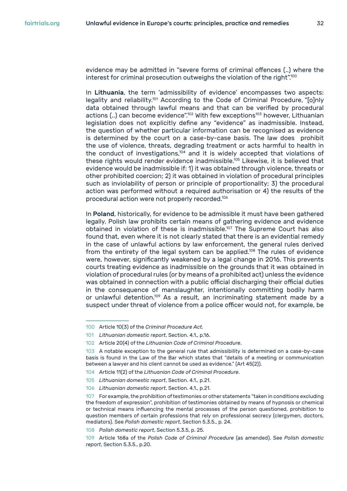evidence may be admitted in "severe forms of criminal offences (..) where the interest for criminal prosecution outweighs the violation of the right".<sup>100</sup>

In Lithuania, the term 'admissibility of evidence' encompasses two aspects: legality and reliability.<sup>101</sup> According to the Code of Criminal Procedure, "[o]nly data obtained through lawful means and that can be verified by procedural actions  $(...)$  can become evidence".<sup>102</sup> With few exceptions<sup>103</sup> however, Lithuanian legislation does not explicitly define any "evidence" as inadmissible. Instead, the question of whether particular information can be recognised as evidence is determined by the court on a case-by-case basis. The law does prohibit the use of violence, threats, degrading treatment or acts harmful to health in the conduct of investigations,<sup>104</sup> and it is widely accepted that violations of these rights would render evidence inadmissible.<sup>105</sup> Likewise, it is believed that evidence would be inadmissible if: 1) it was obtained through violence, threats or other prohibited coercion; 2) it was obtained in violation of procedural principles such as inviolability of person or principle of proportionality; 3) the procedural action was performed without a required authorisation or 4) the results of the procedural action were not properly recorded.106

In Poland, historically, for evidence to be admissible it must have been gathered legally. Polish law prohibits certain means of gathering evidence and evidence obtained in violation of these is inadmissible.<sup>107</sup> The Supreme Court has also found that, even where it is not clearly stated that there is an evidential remedy in the case of unlawful actions by law enforcement, the general rules derived from the entirety of the legal system can be applied.<sup>108</sup> The rules of evidence were, however, significantly weakened by a legal change in 2016. This prevents courts treating evidence as inadmissible on the grounds that it was obtained in violation of procedural rules (or by means of a prohibited act) unless the evidence was obtained in connection with a public official discharging their official duties in the consequence of manslaughter, intentionally committing bodily harm or unlawful detention.<sup>109</sup> As a result, an incriminating statement made by a suspect under threat of violence from a police officer would not, for example, be

<sup>100</sup> Article 10(3) of the *Criminal Procedure Act.*

<sup>101</sup> *Lithuanian domestic report*, Section. 4.1., p.16.

<sup>102</sup> Article 20(4) of the *Lithuanian Code of Criminal Procedure*.

<sup>103</sup> A notable exception to the general rule that admissibility is determined on a case-by-case basis is found in the Law of the Bar which states that "details of a meeting or communication between a lawyer and his client cannot be used as evidence." (Art 45(2)).

<sup>104</sup> Article 11(2) of the *Lithuanian Code of Criminal Procedure*.

<sup>105</sup> *Lithuanian domestic report*, Section. 4.1., p.21.

<sup>106</sup> *Lithuanian domestic report*, Section. 4.1., p.21.

<sup>107</sup> For example, the prohibition of testimonies or other statements "taken in conditions excluding the freedom of expression", prohibition of testimonies obtained by means of hypnosis or chemical or technical means influencing the mental processes of the person questioned, prohibition to question members of certain professions that rely on professional secrecy (clergymen, doctors, mediators). See *Polish domestic report*, Section 5.3.5., p. 24.

<sup>108</sup> *Polish domestic report*, Section 5.3.5, p. 25.

<sup>109</sup> Article 168a of the *Polish Code of Criminal Procedure* (as amended). See *Polish domestic report*, Section 5.3.5., p.20.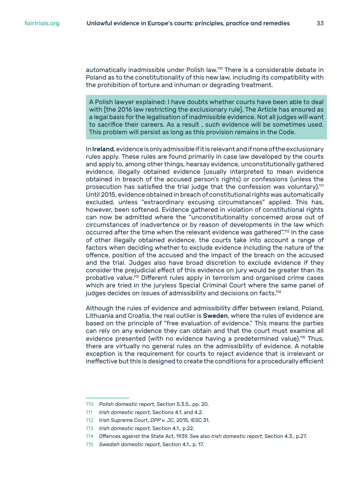automatically inadmissible under Polish law.110 There is a considerable debate in Poland as to the constitutionality of this new law, including its compatibility with the prohibition of torture and inhuman or degrading treatment.

A Polish lawyer explained: I have doubts whether courts have been able to deal with [the 2016 law restricting the exclusionary rule]. The Article has ensured as a legal basis for the legalisation of inadmissible evidence. Not all judges will want to sacrifice their careers. As a result , such evidence will be sometimes used. This problem will persist as long as this provision remains in the Code.

In Ireland, evidence is only admissible if it is relevant and if none of the exclusionary rules apply. These rules are found primarily in case law developed by the courts and apply to, among other things, hearsay evidence, unconstitutionally gathered evidence, illegally obtained evidence (usually interpreted to mean evidence obtained in breach of the accused person's rights) or confessions (unless the prosecution has satisfied the trial judge that the confession was voluntary).<sup>111</sup> Until 2015, evidence obtained in breach of constitutional rights was automatically excluded, unless "extraordinary excusing circumstances" applied. This has, however, been softened. Evidence gathered in violation of constitutional rights can now be admitted where the "unconstitutionality concerned arose out of circumstances of inadvertence or by reason of developments in the law which occurred after the time when the relevant evidence was gathered".<sup>112</sup> In the case of other illegally obtained evidence, the courts take into account a range of factors when deciding whether to exclude evidence including the nature of the offence, position of the accused and the impact of the breach on the accused and the trial. Judges also have broad discretion to exclude evidence if they consider the prejudicial effect of this evidence on jury would be greater than its probative value.<sup>113</sup> Different rules apply in terrorism and organised crime cases which are tried in the juryless Special Criminal Court where the same panel of judges decides on issues of admissibility and decisions on facts.<sup>114</sup>

Although the rules of evidence and admissibility differ between Ireland, Poland, Lithuania and Croatia, the real outlier is Sweden, where the rules of evidence are based on the principle of "free evaluation of evidence." This means the parties can rely on any evidence they can obtain and that the court must examine all evidence presented (with no evidence having a predetermined value).<sup>115</sup> Thus, there are virtually no general rules on the admissibility of evidence. A notable exception is the requirement for courts to reject evidence that is irrelevant or ineffective but this is designed to create the conditions for a procedurally efficient

<sup>110</sup> *Polish domestic report*, Section 5.3.5., pp. 20.

<sup>111</sup> *Irish domestic report*, Sections 4.1. and 4.2.

<sup>112</sup> Irish Supreme Court, *DPP v. JC*, 2015, IESC 31.

<sup>113</sup> *Irish domestic report*, Section 4.1., p.22.

<sup>114</sup> Offences against the State Act, 1939. See also *Irish domestic report*, Section 4.3., p.27.

<sup>115</sup> *Swedish domestic report*, Section 4.1., p. 17.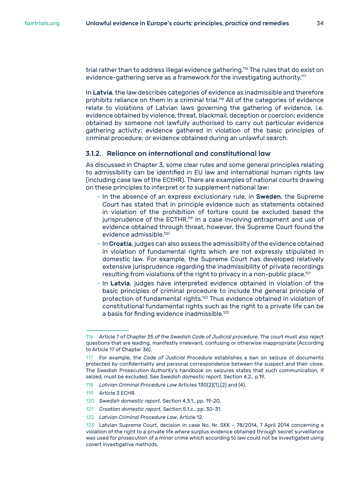<span id="page-33-0"></span>trial rather than to address illegal evidence gathering.116 The rules that do exist on evidence-gathering serve as a framework for the investigating authority.<sup>117</sup>

In Latvia, the law describes categories of evidence as inadmissible and therefore prohibits reliance on them in a criminal trial.<sup>118</sup> All of the categories of evidence relate to violations of Latvian laws governing the gathering of evidence, i.e. evidence obtained by violence, threat, blackmail, deception or coercion; evidence obtained by someone not lawfully authorised to carry out particular evidence gathering activity; evidence gathered in violation of the basic principles of criminal procedure; or evidence obtained during an unlawful search.

#### **3.1.2. Reliance on international and constitutional law**

As discussed in Chapter 3, some clear rules and some general principles relating to admissibility can be identified in EU law and international human rights law (including case law of the ECtHR). There are examples of national courts drawing on these principles to interpret or to supplement national law:

- In the absence of an express exclusionary rule, in Sweden, the Supreme Court has stated that in principle evidence such as statements obtained in violation of the prohibition of torture could be excluded based the jurisprudence of the ECTHR.<sup>119</sup> In a case involving entrapment and use of evidence obtained through threat, however, the Supreme Court found the evidence admissible.<sup>120</sup>
- In Croatia, judges can also assess the admissibility of the evidence obtained in violation of fundamental rights which are not expressly stipulated in domestic law. For example, the Supreme Court has developed relatively extensive jurisprudence regarding the inadmissibility of private recordings resulting from violations of the right to privacy in a non-public place.<sup>121</sup>
- In Latvia, judges have interpreted evidence obtained in violation of the basic principles of criminal procedure to include the general principle of protection of fundamental rights.122 Thus evidence obtained in violation of constitutional fundamental rights such as the right to a private life can be a basis for finding evidence inadmissible.<sup>123</sup>

- 120 *Swedish domestic report*, Section 4.3.1., pp. 19-20.
- 121 *Croatian domestic report*, Section 5.1.c., pp. 30-31.
- 122 *Latvian Criminal Procedure Law*, Article 12.

<sup>116</sup> Article 7 of Chapter 35 of the *Swedish Code of Judicial procedure*. The court must also reject questions that are leading, manifestly irrelevant, confusing or otherwise inappropriate (According to Article 17 of Chapter 36).

<sup>117</sup> For example, the *Code of Judicial Procedure* establishes a ban on seizure of documents protected by confidentiality and personal correspondence between the suspect and their close. The Swedish Prosecution Authority's handbook on seizures states that such communication, if seized, must be excluded. See *Swedish domestic report*, Section 4.2., p.19.

<sup>118</sup> *Latvian Criminal Procedure Law* Articles 130(2)(1),(2) and (4).

<sup>119</sup> Article 3 ECHR.

<sup>123</sup> Latvian Supreme Court, decision in case No. Nr. SKK – 78/2014, 7 April 2014 concerning a violation of the right to a private life where surplus evidence obtained through secret surveillance was used for prosecution of a minor crime which according to law could not be investigated using covert investigative methods.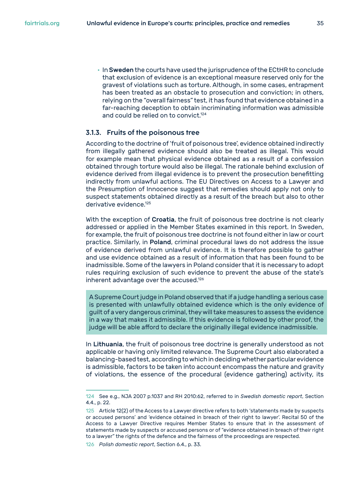<span id="page-34-0"></span>• InSweden the courts have used the jurisprudence of the ECtHR to conclude that exclusion of evidence is an exceptional measure reserved only for the gravest of violations such as torture. Although, in some cases, entrapment has been treated as an obstacle to prosecution and conviction; in others, relying on the "overall fairness" test, it has found that evidence obtained in a far-reaching deception to obtain incriminating information was admissible and could be relied on to convict.<sup>124</sup>

#### **3.1.3. Fruits of the poisonous tree**

According to the doctrine of 'fruit of poisonous tree', evidence obtained indirectly from illegally gathered evidence should also be treated as illegal. This would for example mean that physical evidence obtained as a result of a confession obtained through torture would also be illegal. The rationale behind exclusion of evidence derived from illegal evidence is to prevent the prosecution benefitting indirectly from unlawful actions. The EU Directives on Access to a Lawyer and the Presumption of Innocence suggest that remedies should apply not only to suspect statements obtained directly as a result of the breach but also to other derivative evidence.<sup>125</sup>

With the exception of Croatia, the fruit of poisonous tree doctrine is not clearly addressed or applied in the Member States examined in this report. In Sweden, for example, the fruit of poisonous tree doctrine is not found either in law or court practice. Similarly, in Poland, criminal procedural laws do not address the issue of evidence derived from unlawful evidence. It is therefore possible to gather and use evidence obtained as a result of information that has been found to be inadmissible. Some of the lawyers in Poland consider that it is necessary to adopt rules requiring exclusion of such evidence to prevent the abuse of the state's inherent advantage over the accused.<sup>126</sup>

A Supreme Court judge in Poland observed that if a judge handling a serious case is presented with unlawfully obtained evidence which is the only evidence of guilt of a very dangerous criminal, they will take measures to assess the evidence in a way that makes it admissible. If this evidence is followed by other proof, the judge will be able afford to declare the originally illegal evidence inadmissible.

In Lithuania, the fruit of poisonous tree doctrine is generally understood as not applicable or having only limited relevance. The Supreme Court also elaborated a balancing-based test, according to which in deciding whether particular evidence is admissible, factors to be taken into account encompass the nature and gravity of violations, the essence of the procedural (evidence gathering) activity, its

<sup>124</sup> See e.g., NJA 2007 p.1037 and RH 2010:62, referred to in *Swedish domestic report*, Section 4.4., p. 22.

<sup>125</sup> Article 12(2) of the Access to a Lawyer directive refers to both 'statements made by suspects or accused persons' and 'evidence obtained in breach of their right to lawyer'. Recital 50 of the Access to a Lawyer Directive requires Member States to ensure that in the assessment of statements made by suspects or accused persons or of "evidence obtained in breach of their right to a lawyer" the rights of the defence and the fairness of the proceedings are respected.

<sup>126</sup> *Polish domestic report*, Section 6.4., p. 33.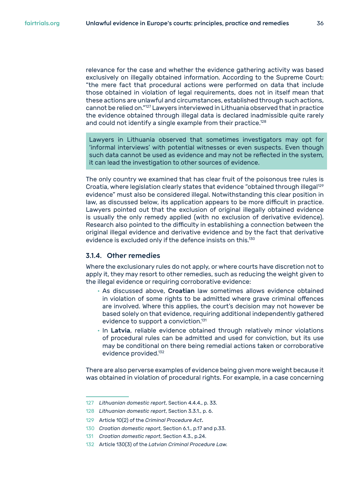<span id="page-35-0"></span>relevance for the case and whether the evidence gathering activity was based exclusively on illegally obtained information. According to the Supreme Court: "the mere fact that procedural actions were performed on data that include those obtained in violation of legal requirements, does not in itself mean that these actions are unlawful and circumstances, established through such actions, cannot be relied on."127 Lawyers interviewed in Lithuania observed that in practice the evidence obtained through illegal data is declared inadmissible quite rarely and could not identify a single example from their practice.<sup>128</sup>

Lawyers in Lithuania observed that sometimes investigators may opt for 'informal interviews' with potential witnesses or even suspects. Even though such data cannot be used as evidence and may not be reflected in the system, it can lead the investigation to other sources of evidence.

The only country we examined that has clear fruit of the poisonous tree rules is Croatia, where legislation clearly states that evidence "obtained through illegal<sup>129</sup> evidence" must also be considered illegal. Notwithstanding this clear position in law, as discussed below, its application appears to be more difficult in practice. Lawyers pointed out that the exclusion of original illegally obtained evidence is usually the only remedy applied (with no exclusion of derivative evidence). Research also pointed to the difficulty in establishing a connection between the original illegal evidence and derivative evidence and by the fact that derivative evidence is excluded only if the defence insists on this.<sup>130</sup>

#### **3.1.4. Other remedies**

Where the exclusionary rules do not apply, or where courts have discretion not to apply it, they may resort to other remedies, such as reducing the weight given to the illegal evidence or requiring corroborative evidence:

- As discussed above, Croatian law sometimes allows evidence obtained in violation of some rights to be admitted where grave criminal offences are involved. Where this applies, the court's decision may not however be based solely on that evidence, requiring additional independently gathered evidence to support a conviction.<sup>131</sup>
- In Latvia, reliable evidence obtained through relatively minor violations of procedural rules can be admitted and used for conviction, but its use may be conditional on there being remedial actions taken or corroborative evidence provided.<sup>132</sup>

There are also perverse examples of evidence being given more weight because it was obtained in violation of procedural rights. For example, in a case concerning

<sup>127</sup> *Lithuanian domestic report*, Section 4.4.4., p. 33.

<sup>128</sup> *Lithuanian domestic report*, Section 3.3.1., p. 6.

<sup>129</sup> Article 10(2) of the *Criminal Procedure Act*.

<sup>130</sup> *Croatian domestic report*, Section 6.1., p.17 and p.33.

<sup>131</sup> *Croatian domestic report*, Section 4.3., p.24.

<sup>132</sup> Article 130(3) of the *Latvian Criminal Procedure Law.*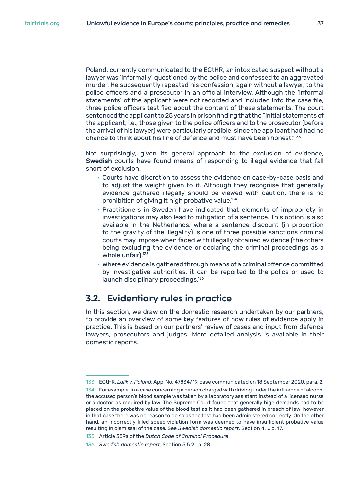<span id="page-36-0"></span>Poland, currently communicated to the ECtHR, an intoxicated suspect without a lawyer was 'informally' questioned by the police and confessed to an aggravated murder. He subsequently repeated his confession, again without a lawyer, to the police officers and a prosecutor in an official interview. Although the 'informal statements' of the applicant were not recorded and included into the case file, three police officers testified about the content of these statements. The court sentenced the applicant to 25 years in prison finding that the "initial statements of the applicant, i.e., those given to the police officers and to the prosecutor (before the arrival of his lawyer) were particularly credible, since the applicant had had no chance to think about his line of defence and must have been honest."<sup>133</sup>

Not surprisingly, given its general approach to the exclusion of evidence, Swedish courts have found means of responding to illegal evidence that fall short of exclusion:

- Courts have discretion to assess the evidence on case-by-case basis and to adjust the weight given to it. Although they recognise that generally evidence gathered illegally should be viewed with caution, there is no prohibition of giving it high probative value.<sup>134</sup>
- Practitioners in Sweden have indicated that elements of impropriety in investigations may also lead to mitigation of a sentence. This option is also available in the Netherlands, where a sentence discount (in proportion to the gravity of the illegality) is one of three possible sanctions criminal courts may impose when faced with illegally obtained evidence (the others being excluding the evidence or declaring the criminal proceedings as a whole unfair).<sup>135</sup>
- Where evidence is gathered through means of a criminal offence committed by investigative authorities, it can be reported to the police or used to launch disciplinary proceedings.136

## **3.2. Evidentiary rules in practice**

In this section, we draw on the domestic research undertaken by our partners, to provide an overview of some key features of how rules of evidence apply in practice. This is based on our partners' review of cases and input from defence lawyers, prosecutors and judges. More detailed analysis is available in their domestic reports.

133 ECtHR, *Lalik v. Poland*, App. No. 47834/19, case communicated on 18 September 2020, para. 2.

<sup>134</sup> For example, in a case concerning a person charged with driving under the influence of alcohol the accused person's blood sample was taken by a laboratory assistant instead of a licensed nurse or a doctor, as required by law. The Supreme Court found that generally high demands had to be placed on the probative value of the blood test as it had been gathered in breach of law, however in that case there was no reason to do so as the test had been administered correctly. On the other hand, an incorrectly filled speed violation form was deemed to have insufficient probative value resulting in dismissal of the case. See *Swedish domestic report*, Section 4.1., p. 17.

<sup>135</sup> Article 359a of the *Dutch Code of Criminal Procedure*.

<sup>136</sup> *Swedish domestic report*, Section 5.5.2., p. 28.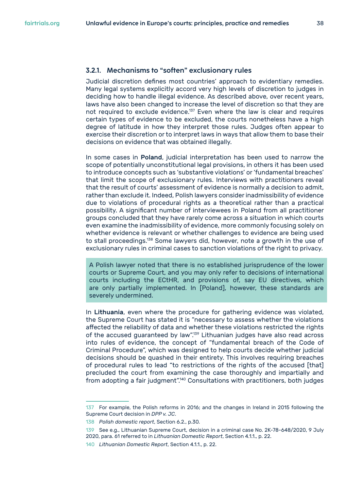#### <span id="page-37-0"></span>**3.2.1. Mechanisms to "soften" exclusionary rules**

Judicial discretion defines most countries' approach to evidentiary remedies. Many legal systems explicitly accord very high levels of discretion to judges in deciding how to handle illegal evidence. As described above, over recent years, laws have also been changed to increase the level of discretion so that they are not required to exclude evidence.137 Even where the law is clear and requires certain types of evidence to be excluded, the courts nonetheless have a high degree of latitude in how they interpret those rules. Judges often appear to exercise their discretion or to interpret laws in ways that allow them to base their decisions on evidence that was obtained illegally.

In some cases in Poland, judicial interpretation has been used to narrow the scope of potentially unconstitutional legal provisions, in others it has been used to introduce concepts such as 'substantive violations' or 'fundamental breaches' that limit the scope of exclusionary rules. Interviews with practitioners reveal that the result of courts' assessment of evidence is normally a decision to admit, rather than exclude it. Indeed, Polish lawyers consider inadmissibility of evidence due to violations of procedural rights as a theoretical rather than a practical possibility. A significant number of interviewees in Poland from all practitioner groups concluded that they have rarely come across a situation in which courts even examine the inadmissibility of evidence, more commonly focusing solely on whether evidence is relevant or whether challenges to evidence are being used to stall proceedings.<sup>138</sup> Some lawyers did, however, note a growth in the use of exclusionary rules in criminal cases to sanction violations of the right to privacy.

A Polish lawyer noted that there is no established jurisprudence of the lower courts or Supreme Court, and you may only refer to decisions of international courts including the ECtHR, and provisions of, say EU directives, which are only partially implemented. In [Poland], however, these standards are severely undermined.

In Lithuania, even where the procedure for gathering evidence was violated, the Supreme Court has stated it is "necessary to assess whether the violations affected the reliability of data and whether these violations restricted the rights of the accused guaranteed by law".139 Lithuanian judges have also read across into rules of evidence, the concept of "fundamental breach of the Code of Criminal Procedure", which was designed to help courts decide whether judicial decisions should be quashed in their entirety. This involves requiring breaches of procedural rules to lead "to restrictions of the rights of the accused [that] precluded the court from examining the case thoroughly and impartially and from adopting a fair judgment".<sup>140</sup> Consultations with practitioners, both judges

<sup>137</sup> For example, the Polish reforms in 2016; and the changes in Ireland in 2015 following the Supreme Court decision in *DPP v. JC*.

<sup>138</sup> *Polish domestic report*, Section 6.2., p.30.

<sup>139</sup> See e.g., Lithuanian Supreme Court, decision in a criminal case No. 2K-78-648/2020, 9 July 2020, para. 61 referred to in *Lithuanian Domestic Report*, Section 4.1.1., p. 22.

<sup>140</sup> *Lithuanian Domestic Report*, Section 4.1.1., p. 22.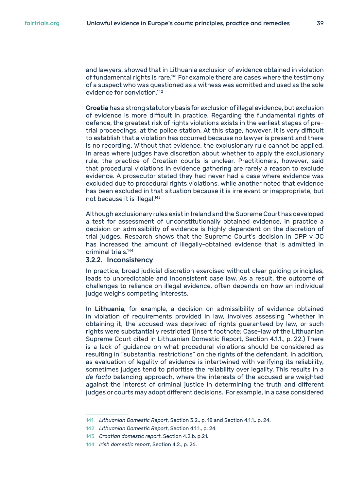<span id="page-38-0"></span>and lawyers, showed that in Lithuania exclusion of evidence obtained in violation of fundamental rights is rare.<sup>141</sup> For example there are cases where the testimony of a suspect who was questioned as a witness was admitted and used as the sole evidence for conviction.<sup>142</sup>

Croatia has a strong statutory basis for exclusion of illegal evidence, but exclusion of evidence is more difficult in practice. Regarding the fundamental rights of defence, the greatest risk of rights violations exists in the earliest stages of pretrial proceedings, at the police station. At this stage, however, it is very difficult to establish that a violation has occurred because no lawyer is present and there is no recording. Without that evidence, the exclusionary rule cannot be applied. In areas where judges have discretion about whether to apply the exclusionary rule, the practice of Croatian courts is unclear. Practitioners, however, said that procedural violations in evidence gathering are rarely a reason to exclude evidence. A prosecutor stated they had never had a case where evidence was excluded due to procedural rights violations, while another noted that evidence has been excluded in that situation because it is irrelevant or inappropriate, but not because it is illegal.<sup>143</sup>

Although exclusionary rules exist in Ireland and the Supreme Court has developed a test for assessment of unconstitutionally obtained evidence, in practice a decision on admissibility of evidence is highly dependent on the discretion of trial judges. Research shows that the Supreme Court's decision in DPP v JC has increased the amount of illegally-obtained evidence that is admitted in criminal trials.<sup>144</sup>

#### **3.2.2. Inconsistency**

In practice, broad judicial discretion exercised without clear guiding principles, leads to unpredictable and inconsistent case law. As a result, the outcome of challenges to reliance on illegal evidence, often depends on how an individual judge weighs competing interests.

In Lithuania, for example, a decision on admissibility of evidence obtained in violation of requirements provided in law, involves assessing "whether in obtaining it, the accused was deprived of rights guaranteed by law, or such rights were substantially restricted"(insert footnote: Case-law of the Lithuanian Supreme Court cited in Lithuanian Domestic Report, Section 4.1.1., p. 22.) There is a lack of guidance on what procedural violations should be considered as resulting in "substantial restrictions" on the rights of the defendant. In addition, as evaluation of legality of evidence is intertwined with verifying its reliability, sometimes judges tend to prioritise the reliability over legality. This results in a *de facto* balancing approach, where the interests of the accused are weighted against the interest of criminal justice in determining the truth and different judges or courts may adopt different decisions. For example, in a case considered

<sup>141</sup> *Lithuanian Domestic Report*, Section 3.2., p. 18 and Section 4.1.1., p. 24.

<sup>142</sup> *Lithuanian Domestic Report*, Section 4.1.1., p. 24.

<sup>143</sup> *Croatian domestic report*, Section 4.2.b, p.21.

<sup>144</sup> *Irish domestic report*, Section 4.2., p. 26.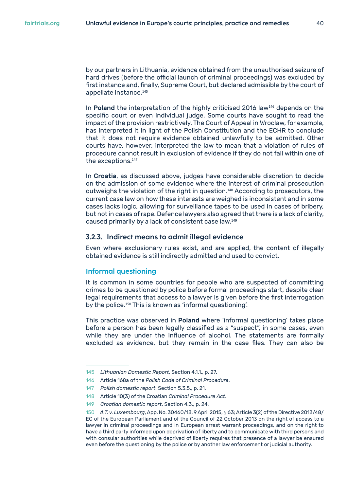<span id="page-39-0"></span>by our partners in Lithuania, evidence obtained from the unauthorised seizure of hard drives (before the official launch of criminal proceedings) was excluded by first instance and, finally, Supreme Court, but declared admissible by the court of appellate instance.<sup>145</sup>

In Poland the interpretation of the highly criticised 2016 law<sup>146</sup> depends on the specific court or even individual judge. Some courts have sought to read the impact of the provision restrictively. The Court of Appeal in Wroclaw, for example, has interpreted it in light of the Polish Constitution and the ECHR to conclude that it does not require evidence obtained unlawfully to be admitted. Other courts have, however, interpreted the law to mean that a violation of rules of procedure cannot result in exclusion of evidence if they do not fall within one of the exceptions.<sup>147</sup>

In Croatia, as discussed above, judges have considerable discretion to decide on the admission of some evidence where the interest of criminal prosecution outweighs the violation of the right in question.<sup>148</sup> According to prosecutors, the current case law on how these interests are weighed is inconsistent and in some cases lacks logic, allowing for surveillance tapes to be used in cases of bribery, but not in cases of rape. Defence lawyers also agreed that there is a lack of clarity, caused primarily by a lack of consistent case law.<sup>149</sup>

#### **3.2.3. Indirect means to admit illegal evidence**

Even where exclusionary rules exist, and are applied, the content of illegally obtained evidence is still indirectly admitted and used to convict.

#### **Informal questioning**

It is common in some countries for people who are suspected of committing crimes to be questioned by police before formal proceedings start, despite clear legal requirements that access to a lawyer is given before the first interrogation by the police.<sup>150</sup> This is known as 'informal questioning'.

This practice was observed in Poland where 'informal questioning' takes place before a person has been legally classified as a "suspect", in some cases, even while they are under the influence of alcohol. The statements are formally excluded as evidence, but they remain in the case files. They can also be

<sup>145</sup> *Lithuanian Domestic Report*, Section 4.1.1., p. 27.

<sup>146</sup> Article 168a of the *Polish Code of Criminal Procedure*.

<sup>147</sup> *Polish domestic report*, Section 5.3.5., p. 21.

<sup>148</sup> Article 10(3) of the Croatian *Criminal Procedure Act*.

<sup>149</sup> *Croatian domestic report*, Section 4.3., p. 24.

<sup>150</sup> *A.T. v. Luxembourg*, App. No. 30460/13, 9 April 2015, § 63; Article 3(2) of the Directive 2013/48/ EC of the European Parliament and of the Council of 22 October 2013 on the right of access to a lawyer in criminal proceedings and in European arrest warrant proceedings, and on the right to have a third party informed upon deprivation of liberty and to communicate with third persons and with consular authorities while deprived of liberty requires that presence of a lawyer be ensured even before the questioning by the police or by another law enforcement or judicial authority.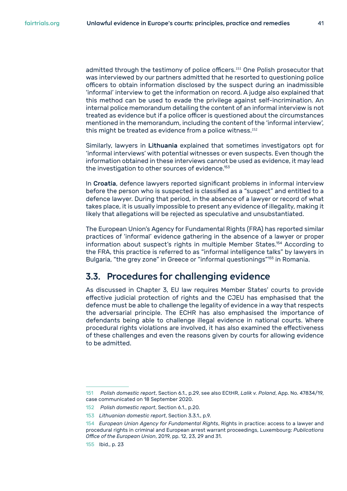<span id="page-40-0"></span>admitted through the testimony of police officers.<sup>151</sup> One Polish prosecutor that was interviewed by our partners admitted that he resorted to questioning police officers to obtain information disclosed by the suspect during an inadmissible 'informal' interview to get the information on record. A judge also explained that this method can be used to evade the privilege against self-incrimination. An internal police memorandum detailing the content of an informal interview is not treated as evidence but if a police officer is questioned about the circumstances mentioned in the memorandum, including the content of the 'informal interview', this might be treated as evidence from a police witness.<sup>152</sup>

Similarly, lawyers in Lithuania explained that sometimes investigators opt for 'informal interviews' with potential witnesses or even suspects. Even though the information obtained in these interviews cannot be used as evidence, it may lead the investigation to other sources of evidence.<sup>153</sup>

In Croatia, defence lawyers reported significant problems in informal interview before the person who is suspected is classified as a "suspect" and entitled to a defence lawyer. During that period, in the absence of a lawyer or record of what takes place, it is usually impossible to present any evidence of illegality, making it likely that allegations will be rejected as speculative and unsubstantiated.

The European Union's Agency for Fundamental Rights (FRA) has reported similar practices of 'informal' evidence gathering in the absence of a lawyer or proper information about suspect's rights in multiple Member States.154 According to the FRA, this practice is referred to as "informal intelligence talks" by lawyers in Bulgaria, "the grey zone" in Greece or "informal questionings"<sup>155</sup> in Romania.

## **3.3. Procedures for challenging evidence**

As discussed in Chapter 3, EU law requires Member States' courts to provide effective judicial protection of rights and the CJEU has emphasised that the defence must be able to challenge the legality of evidence in a way that respects the adversarial principle. The ECHR has also emphasised the importance of defendants being able to challenge illegal evidence in national courts. Where procedural rights violations are involved, it has also examined the effectiveness of these challenges and even the reasons given by courts for allowing evidence to be admitted.

<sup>151</sup> *Polish domestic report*, Section 6.1., p.29, see also ECtHR, *Lalik v. Poland*, App. No. 47834/19, case communicated on 18 September 2020.

<sup>152</sup> *Polish domestic report*, Section 6.1., p.20.

<sup>153</sup> *Lithuanian domestic report*, Section 3.3.1., p.9.

<sup>154</sup> *European Union Agency for Fundamental Rights*, Rights in practice: access to a lawyer and procedural rights in criminal and European arrest warrant proceedings, Luxembourg: *Publications Office of the European Union*, 2019, pp. 12, 23, 29 and 31.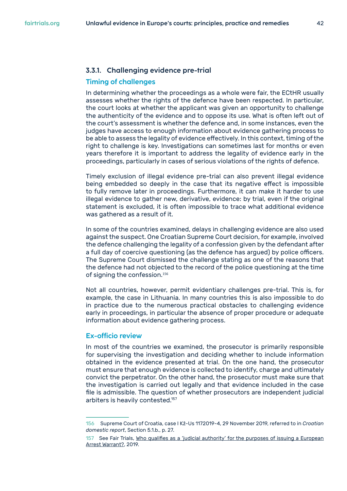#### <span id="page-41-0"></span>**Timing of challenges**

In determining whether the proceedings as a whole were fair, the ECtHR usually assesses whether the rights of the defence have been respected. In particular, the court looks at whether the applicant was given an opportunity to challenge the authenticity of the evidence and to oppose its use. What is often left out of the court's assessment is whether the defence and, in some instances, even the judges have access to enough information about evidence gathering process to be able to assess the legality of evidence effectively. In this context, timing of the right to challenge is key. Investigations can sometimes last for months or even years therefore it is important to address the legality of evidence early in the proceedings, particularly in cases of serious violations of the rights of defence.

Timely exclusion of illegal evidence pre-trial can also prevent illegal evidence being embedded so deeply in the case that its negative effect is impossible to fully remove later in proceedings. Furthermore, it can make it harder to use illegal evidence to gather new, derivative, evidence: by trial, even if the original statement is excluded, it is often impossible to trace what additional evidence was gathered as a result of it.

In some of the countries examined, delays in challenging evidence are also used against the suspect. One Croatian Supreme Court decision, for example, involved the defence challenging the legality of a confession given by the defendant after a full day of coercive questioning (as the defence has argued) by police officers. The Supreme Court dismissed the challenge stating as one of the reasons that the defence had not objected to the record of the police questioning at the time of signing the confession.<sup>156</sup>

Not all countries, however, permit evidentiary challenges pre-trial. This is, for example, the case in Lithuania. In many countries this is also impossible to do in practice due to the numerous practical obstacles to challenging evidence early in proceedings, in particular the absence of proper procedure or adequate information about evidence gathering process.

#### **Ex-officio review**

In most of the countries we examined, the prosecutor is primarily responsible for supervising the investigation and deciding whether to include information obtained in the evidence presented at trial. On the one hand, the prosecutor must ensure that enough evidence is collected to identify, charge and ultimately convict the perpetrator. On the other hand, the prosecutor must make sure that the investigation is carried out legally and that evidence included in the case file is admissible. The question of whether prosecutors are independent judicial arbiters is heavily contested.157

<sup>156</sup> Supreme Court of Croatia, case I Kž-Us 1172019-4, 29 November 2019, referred to in *Croatian domestic report*, Section 5.1.b., p. 27.

<sup>157</sup> See Fair Trials, [Who qualifies as a 'judicial authority' for the purposes of issuing a European](https://www.fairtrials.org/sites/default/files/publication_pdf/CJEU_27_May_2019_cases_IP_LB_final.pdf)  [Arrest Warrant?,](https://www.fairtrials.org/sites/default/files/publication_pdf/CJEU_27_May_2019_cases_IP_LB_final.pdf) 2019.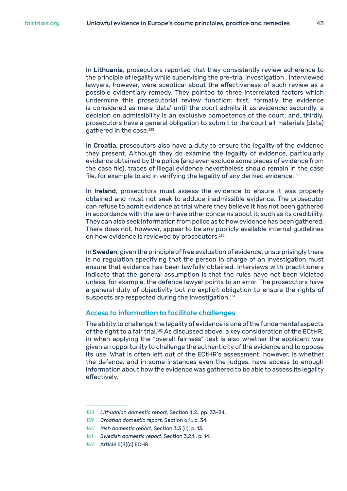In Lithuania, prosecutors reported that they consistently review adherence to the principle of legality while supervising the pre-trial investigation . Interviewed lawyers, however, were sceptical about the effectiveness of such review as a possible evidentiary remedy. They pointed to three interrelated factors which undermine this prosecutorial review function: first, formally the evidence is considered as mere 'data' until the court admits it as evidence; secondly, a decision on admissibility is an exclusive competence of the court; and, thirdly, prosecutors have a general obligation to submit to the court all materials (data) gathered in the case.<sup>158</sup>

In Croatia, prosecutors also have a duty to ensure the legality of the evidence they present. Although they do examine the legality of evidence, particularly evidence obtained by the police (and even exclude some pieces of evidence from the case file), traces of illegal evidence nevertheless should remain in the case file, for example to aid in verifying the legality of any derived evidence.<sup>159</sup>

In **Ireland**, prosecutors must assess the evidence to ensure it was properly obtained and must not seek to adduce inadmissible evidence. The prosecutor can refuse to admit evidence at trial where they believe it has not been gathered in accordance with the law or have other concerns about it, such as its credibility. They can also seek information from police as to how evidence has been gathered. There does not, however, appear to be any publicly available internal guidelines on how evidence is reviewed by prosecutors.<sup>160</sup>

In Sweden, given the principle of free evaluation of evidence, unsurprisingly there is no regulation specifying that the person in charge of an investigation must ensure that evidence has been lawfully obtained. Interviews with practitioners indicate that the general assumption is that the rules have not been violated unless, for example, the defence lawyer points to an error. The prosecutors have a general duty of objectivity but no explicit obligation to ensure the rights of suspects are respected during the investigation.<sup>161</sup>

#### **Access to information to facilitate challenges**

The ability to challenge the legality of evidence is one of the fundamental aspects of the right to a fair trial.<sup>162</sup> As discussed above, a key consideration of the ECtHR, in when applying the "overall fairness" test is also whether the applicant was given an opportunity to challenge the authenticity of the evidence and to oppose its use. What is often left out of the ECtHR's assessment, however, is whether the defence, and in some instances even the judges, have access to enough information about how the evidence was gathered to be able to assess its legality effectively.

<sup>158</sup> *Lithuanian domestic report*, Section 4.2., pp. 33-34.

<sup>159</sup> *Croatian domestic report*, Section 6.1., p. 34.

<sup>160</sup> *Irish domestic report*, Section 3.3 (ii), p. 13.

<sup>161</sup> *Swedish domestic report*, Section 3.2.1., p. 14.

<sup>162</sup> Article 6(3)(c) ECHR.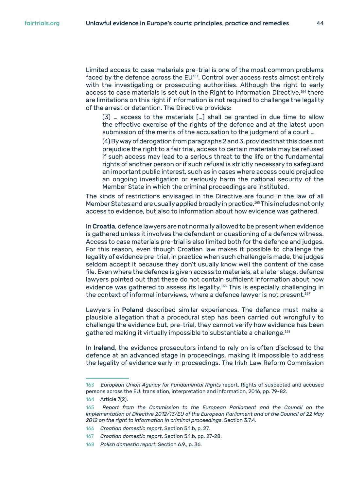Limited access to case materials pre-trial is one of the most common problems faced by the defence across the EU<sup>163</sup>. Control over access rests almost entirely with the investigating or prosecuting authorities. Although the right to early access to case materials is set out in the Right to Information Directive,<sup>164</sup> there are limitations on this right if information is not required to challenge the legality of the arrest or detention. The Directive provides:

(3) … access to the materials […] shall be granted in due time to allow the effective exercise of the rights of the defence and at the latest upon submission of the merits of the accusation to the judgment of a court …

(4) By way of derogation from paragraphs 2 and 3, provided that this does not prejudice the right to a fair trial, access to certain materials may be refused if such access may lead to a serious threat to the life or the fundamental rights of another person or if such refusal is strictly necessary to safeguard an important public interest, such as in cases where access could prejudice an ongoing investigation or seriously harm the national security of the Member State in which the criminal proceedings are instituted.

The kinds of restrictions envisaged in the Directive are found in the law of all Member States and are usually applied broadly in practice.<sup>165</sup> This includes not only access to evidence, but also to information about how evidence was gathered.

In Croatia, defence lawyers are not normally allowed to be present when evidence is gathered unless it involves the defendant or questioning of a defence witness. Access to case materials pre-trial is also limited both for the defence and judges. For this reason, even though Croatian law makes it possible to challenge the legality of evidence pre-trial, in practice when such challenge is made, the judges seldom accept it because they don't usually know well the content of the case file. Even where the defence is given access to materials, at a later stage, defence lawyers pointed out that these do not contain sufficient information about how evidence was gathered to assess its legality.<sup>166</sup> This is especially challenging in the context of informal interviews, where a defence lawyer is not present.<sup>167</sup>

Lawyers in Poland described similar experiences. The defence must make a plausible allegation that a procedural step has been carried out wrongfully to challenge the evidence but, pre-trial, they cannot verify how evidence has been gathered making it virtually impossible to substantiate a challenge.<sup>168</sup>

In Ireland, the evidence prosecutors intend to rely on is often disclosed to the defence at an advanced stage in proceedings, making it impossible to address the legality of evidence early in proceedings. The Irish Law Reform Commission

<sup>163</sup> *European Union Agency for Fundamental Rights* report, Rights of suspected and accused persons across the EU: translation, interpretation and information, 2016, pp. 79-82.

<sup>164</sup> Article 7(2).

<sup>165</sup> *Report from the Commission to the European Parliament and the Council on the implementation of Directive 2012/13/EU of the European Parliament and of the Council of 22 May 2012 on the right to information in criminal proceedings*, Section 3.7.4.

<sup>166</sup> *Croatian domestic report*, Section 5.1.b, p. 27.

<sup>167</sup> *Croatian domestic report*, Section 5.1.b, pp. 27-28.

<sup>168</sup> *Polish domestic report*, Section 6.9., p. 36.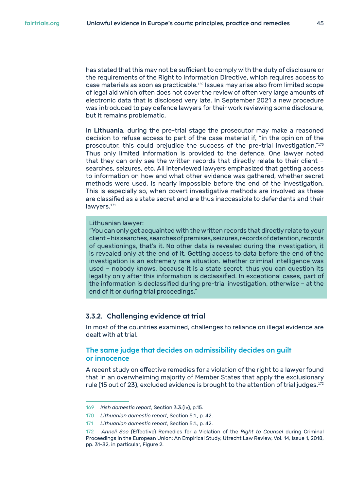<span id="page-44-0"></span>has stated that this may not be sufficient to comply with the duty of disclosure or the requirements of the Right to Information Directive, which requires access to case materials as soon as practicable.<sup>169</sup> Issues may arise also from limited scope of legal aid which often does not cover the review of often very large amounts of electronic data that is disclosed very late. In September 2021 a new procedure was introduced to pay defence lawyers for their work reviewing some disclosure, but it remains problematic.

In Lithuania, during the pre-trial stage the prosecutor may make a reasoned decision to refuse access to part of the case material if, "in the opinion of the prosecutor, this could prejudice the success of the pre-trial investigation."<sup>170</sup> Thus only limited information is provided to the defence. One lawyer noted that they can only see the written records that directly relate to their client – searches, seizures, etc. All interviewed lawyers emphasized that getting access to information on how and what other evidence was gathered, whether secret methods were used, is nearly impossible before the end of the investigation. This is especially so, when covert investigative methods are involved as these are classified as a state secret and are thus inaccessible to defendants and their lawyers.<sup>171</sup>

#### Lithuanian lawyer:

"You can only get acquainted with the written records that directly relate to your client – his searches, searches of premises, seizures, records of detention, records of questionings, that's it. No other data is revealed during the investigation, it is revealed only at the end of it. Getting access to data before the end of the investigation is an extremely rare situation. Whether criminal intelligence was used – nobody knows, because it is a state secret, thus you can question its legality only after this information is declassified. In exceptional cases, part of the information is declassified during pre-trial investigation, otherwise – at the end of it or during trial proceedings."

#### **3.3.2. Challenging evidence at trial**

In most of the countries examined, challenges to reliance on illegal evidence are dealt with at trial.

#### **The same judge that decides on admissibility decides on guilt or innocence**

A recent study on effective remedies for a violation of the right to a lawyer found that in an overwhelming majority of Member States that apply the exclusionary rule (15 out of 23), excluded evidence is brought to the attention of trial judges.<sup>172</sup>

<sup>169</sup> *Irish domestic report*, Section 3.3.(iv), p.15.

<sup>170</sup> *Lithuanian domestic report*, Section 5.1., p. 42.

<sup>171</sup> *Lithuanian domestic report*, Section 5.1., p. 42.

<sup>172</sup> *Anneli Soo* (Effective) Remedies for a Violation of the *Right to Counsel* during Criminal Proceedings in the European Union: An Empirical Study, Utrecht Law Review, Vol. 14, Issue 1, 2018, pp. 31-32, in particular, Figure 2.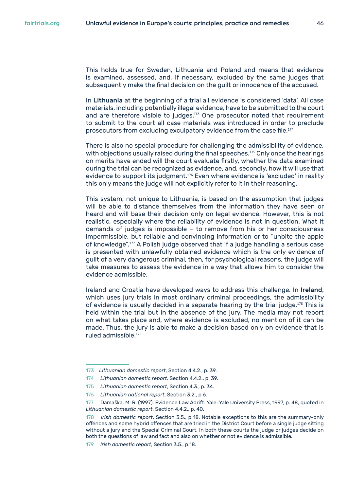This holds true for Sweden, Lithuania and Poland and means that evidence is examined, assessed, and, if necessary, excluded by the same judges that subsequently make the final decision on the guilt or innocence of the accused.

In Lithuania at the beginning of a trial all evidence is considered 'data'. All case materials, including potentially illegal evidence, have to be submitted to the court and are therefore visible to judges.<sup>173</sup> One prosecutor noted that requirement to submit to the court all case materials was introduced in order to preclude prosecutors from excluding exculpatory evidence from the case file.<sup>174</sup>

There is also no special procedure for challenging the admissibility of evidence, with objections usually raised during the final speeches.<sup>175</sup> Only once the hearings on merits have ended will the court evaluate firstly, whether the data examined during the trial can be recognized as evidence, and, secondly, how it will use that evidence to support its judgment.<sup>176</sup> Even where evidence is 'excluded' in reality this only means the judge will not explicitly refer to it in their reasoning.

This system, not unique to Lithuania, is based on the assumption that judges will be able to distance themselves from the information they have seen or heard and will base their decision only on legal evidence. However, this is not realistic, especially where the reliability of evidence is not in question. What it demands of judges is impossible – to remove from his or her consciousness impermissible, but reliable and convincing information or to "unbite the apple of knowledge".<sup>177</sup> A Polish judge observed that if a judge handling a serious case is presented with unlawfully obtained evidence which is the only evidence of guilt of a very dangerous criminal, then, for psychological reasons, the judge will take measures to assess the evidence in a way that allows him to consider the evidence admissible.

Ireland and Croatia have developed ways to address this challenge. In Ireland, which uses jury trials in most ordinary criminal proceedings, the admissibility of evidence is usually decided in a separate hearing by the trial judge. $178$  This is held within the trial but in the absence of the jury. The media may not report on what takes place and, where evidence is excluded, no mention of it can be made. Thus, the jury is able to make a decision based only on evidence that is ruled admissible.<sup>179</sup>

<sup>173</sup> *Lithuanian domestic report*, Section 4.4.2., p. 39.

<sup>174</sup> *Lithuanian domestic report,* Section 4.4.2., p. 39*.*

<sup>175</sup> *Lithuanian domestic report*, Section 4.3., p. 34.

<sup>176</sup> *Lithuanian national report*, Section 3.2., p.6.

<sup>177</sup> Damaška, M. R. (1997). Evidence Law Adrift. Yale: Yale University Press, 1997, p. 48, quoted in *Lithuanian domestic report*, Section 4.4.2., p. 40.

<sup>178</sup> *Irish domestic report*, Section 3.5., p 18. Notable exceptions to this are the summary-only offences and some hybrid offences that are tried in the District Court before a single judge sitting without a jury and the Special Criminal Court. In both these courts the judge or judges decide on both the questions of law and fact and also on whether or not evidence is admissible.

*Irish domestic report*, Section 3.5., p 18.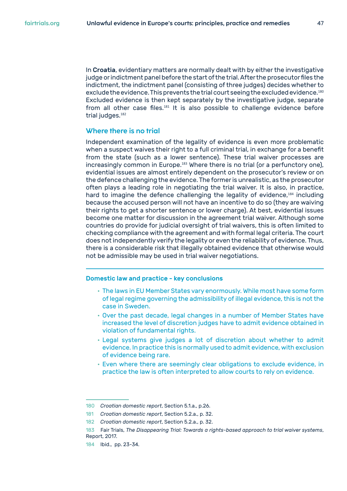In Croatia, evidentiary matters are normally dealt with by either the investigative judge or indictment panel before the start of the trial. After the prosecutor files the indictment, the indictment panel (consisting of three judges) decides whether to exclude the evidence. This prevents the trial court seeing the excluded evidence.<sup>180</sup> Excluded evidence is then kept separately by the investigative judge, separate from all other case files.<sup>181</sup> It is also possible to challenge evidence before trial judges.<sup>182</sup>

#### **Where there is no trial**

Independent examination of the legality of evidence is even more problematic when a suspect waives their right to a full criminal trial, in exchange for a benefit from the state (such as a lower sentence). These trial waiver processes are increasingly common in Europe.<sup>183</sup> Where there is no trial (or a perfunctory one), evidential issues are almost entirely dependent on the prosecutor's review or on the defence challenging the evidence. The former is unrealistic, as the prosecutor often plays a leading role in negotiating the trial waiver. It is also, in practice, hard to imagine the defence challenging the legality of evidence,<sup>184</sup> including because the accused person will not have an incentive to do so (they are waiving their rights to get a shorter sentence or lower charge). At best, evidential issues become one matter for discussion in the agreement trial waiver. Although some countries do provide for judicial oversight of trial waivers, this is often limited to checking compliance with the agreement and with formal legal criteria. The court does not independently verify the legality or even the reliability of evidence. Thus, there is a considerable risk that illegally obtained evidence that otherwise would not be admissible may be used in trial waiver negotiations.

#### Domestic law and practice - key conclusions

- The laws in EU Member States vary enormously. While most have some form of legal regime governing the admissibility of illegal evidence, this is not the case in Sweden.
- Over the past decade, legal changes in a number of Member States have increased the level of discretion judges have to admit evidence obtained in violation of fundamental rights.
- Legal systems give judges a lot of discretion about whether to admit evidence. In practice this is normally used to admit evidence, with exclusion of evidence being rare.
- Even where there are seemingly clear obligations to exclude evidence, in practice the law is often interpreted to allow courts to rely on evidence.

<sup>180</sup> *Croatian domestic report*, Section 5.1.a., p.26.

<sup>181</sup> *Croatian domestic report*, Section 5.2.a., p. 32.

<sup>182</sup> *Croatian domestic report*, Section 5.2.a., p. 32.

<sup>183</sup> Fair Trials, *The Disappearing Trial: Towards a rights-based approach to trial waiver systems*, Report, 2017.

<sup>184</sup> Ibid., pp. 23-34.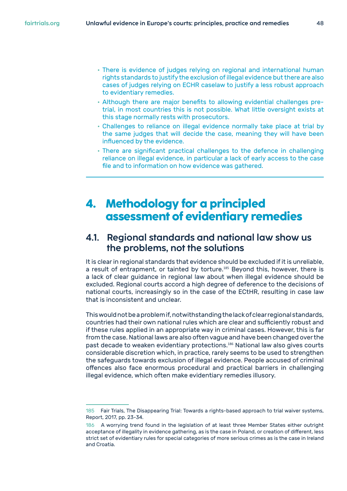- <span id="page-47-0"></span>• There is evidence of judges relying on regional and international human rights standards to justify the exclusion of illegal evidence but there are also cases of judges relying on ECHR caselaw to justify a less robust approach to evidentiary remedies.
- Although there are major benefits to allowing evidential challenges pretrial, in most countries this is not possible. What little oversight exists at this stage normally rests with prosecutors.
- Challenges to reliance on illegal evidence normally take place at trial by the same judges that will decide the case, meaning they will have been influenced by the evidence.
- There are significant practical challenges to the defence in challenging reliance on illegal evidence, in particular a lack of early access to the case file and to information on how evidence was gathered.

## **4. Methodology for a principled assessment of evidentiary remedies**

## **4.1. Regional standards and national law show us the problems, not the solutions**

It is clear in regional standards that evidence should be excluded if it is unreliable, a result of entrapment, or tainted by torture.<sup>185</sup> Beyond this, however, there is a lack of clear guidance in regional law about when illegal evidence should be excluded. Regional courts accord a high degree of deference to the decisions of national courts, increasingly so in the case of the ECtHR, resulting in case law that is inconsistent and unclear.

This would not be a problem if, notwithstanding the lack of clear regional standards, countries had their own national rules which are clear and sufficiently robust and if these rules applied in an appropriate way in criminal cases. However, this is far from the case. National laws are also often vague and have been changed over the past decade to weaken evidentiary protections.<sup>186</sup> National law also gives courts considerable discretion which, in practice, rarely seems to be used to strengthen the safeguards towards exclusion of illegal evidence. People accused of criminal offences also face enormous procedural and practical barriers in challenging illegal evidence, which often make evidentiary remedies illusory.

<sup>185</sup> Fair Trials, The Disappearing Trial: Towards a rights-based approach to trial waiver systems, Report, 2017, pp. 23-34.

<sup>186</sup> A worrying trend found in the legislation of at least three Member States either outright acceptance of illegality in evidence gathering, as is the case in Poland, or creation of different, less strict set of evidentiary rules for special categories of more serious crimes as is the case in Ireland and Croatia.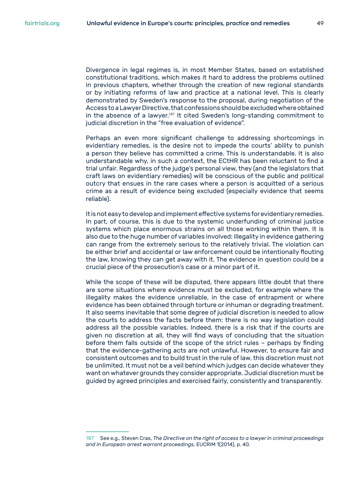Divergence in legal regimes is, in most Member States, based on established constitutional traditions, which makes it hard to address the problems outlined in previous chapters, whether through the creation of new regional standards or by initiating reforms of law and practice at a national level. This is clearly demonstrated by Sweden's response to the proposal, during negotiation of the Access to a Lawyer Directive, that confessions should be excluded where obtained in the absence of a lawyer.<sup>187</sup> It cited Sweden's long-standing commitment to judicial discretion in the "free evaluation of evidence".

Perhaps an even more significant challenge to addressing shortcomings in evidentiary remedies, is the desire not to impede the courts' ability to punish a person they believe has committed a crime. This is understandable. It is also understandable why, in such a context, the ECtHR has been reluctant to find a trial unfair. Regardless of the judge's personal view, they (and the legislators that craft laws on evidentiary remedies) will be conscious of the public and political outcry that ensues in the rare cases where a person is acquitted of a serious crime as a result of evidence being excluded (especially evidence that seems reliable).

It is not easy to develop and implement effective systems for evidentiary remedies. In part, of course, this is due to the systemic underfunding of criminal justice systems which place enormous strains on all those working within them. It is also due to the huge number of variables involved: illegality in evidence gathering can range from the extremely serious to the relatively trivial. The violation can be either brief and accidental or law enforcement could be intentionally flouting the law, knowing they can get away with it. The evidence in question could be a crucial piece of the prosecution's case or a minor part of it.

While the scope of these will be disputed, there appears little doubt that there are some situations where evidence must be excluded, for example where the illegality makes the evidence unreliable, in the case of entrapment or where evidence has been obtained through torture or inhuman or degrading treatment. It also seems inevitable that some degree of judicial discretion is needed to allow the courts to address the facts before them: there is no way legislation could address all the possible variables. Indeed, there is a risk that if the courts are given no discretion at all, they will find ways of concluding that the situation before them falls outside of the scope of the strict rules – perhaps by finding that the evidence-gathering acts are not unlawful. However, to ensure fair and consistent outcomes and to build trust in the rule of law, this discretion must not be unlimited. It must not be a veil behind which judges can decide whatever they want on whatever grounds they consider appropriate. Judicial discretion must be guided by agreed principles and exercised fairly, consistently and transparently.

<sup>187</sup> See e.g., Steven Cras, *The Directive on the right of access to a lawyer in criminal proceedings and in European arrest warrant proceedings*, EUCRIM 1(2014), p. 40.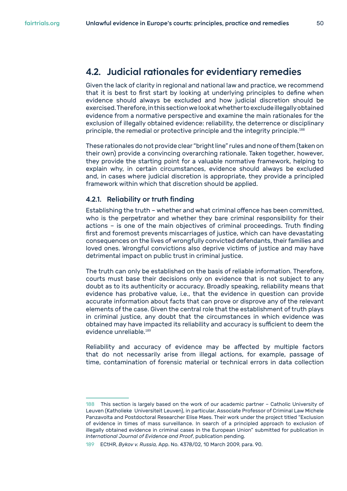### <span id="page-49-0"></span>**4.2. Judicial rationales for evidentiary remedies**

Given the lack of clarity in regional and national law and practice, we recommend that it is best to first start by looking at underlying principles to define when evidence should always be excluded and how judicial discretion should be exercised. Therefore, in this section we look at whether to exclude illegally obtained evidence from a normative perspective and examine the main rationales for the exclusion of illegally obtained evidence: reliability, the deterrence or disciplinary principle, the remedial or protective principle and the integrity principle.<sup>188</sup>

These rationales do not provide clear "bright line" rules and none of them (taken on their own) provide a convincing overarching rationale. Taken together, however, they provide the starting point for a valuable normative framework, helping to explain why, in certain circumstances, evidence should always be excluded and, in cases where judicial discretion is appropriate, they provide a principled framework within which that discretion should be applied.

#### **4.2.1. Reliability or truth finding**

Establishing the truth – whether and what criminal offence has been committed, who is the perpetrator and whether they bare criminal responsibility for their actions – is one of the main objectives of criminal proceedings. Truth finding first and foremost prevents miscarriages of justice, which can have devastating consequences on the lives of wrongfully convicted defendants, their families and loved ones. Wrongful convictions also deprive victims of justice and may have detrimental impact on public trust in criminal justice.

The truth can only be established on the basis of reliable information. Therefore, courts must base their decisions only on evidence that is not subject to any doubt as to its authenticity or accuracy. Broadly speaking, reliability means that evidence has probative value, i.e., that the evidence in question can provide accurate information about facts that can prove or disprove any of the relevant elements of the case. Given the central role that the establishment of truth plays in criminal justice, any doubt that the circumstances in which evidence was obtained may have impacted its reliability and accuracy is sufficient to deem the evidence unreliable.<sup>189</sup>

Reliability and accuracy of evidence may be affected by multiple factors that do not necessarily arise from illegal actions, for example, passage of time, contamination of forensic material or technical errors in data collection

<sup>188</sup> This section is largely based on the work of our academic partner – Catholic University of Leuven (Katholieke Universiteit Leuven), in particular, Associate Professor of Criminal Law Michele Panzavolta and Postdoctoral Researcher Elise Maes. Their work under the project titled "Exclusion of evidence in times of mass surveillance. In search of a principled approach to exclusion of illegally obtained evidence in criminal cases in the European Union" submitted for publication in *International Journal of Evidence and Proof*, publication pending.

<sup>189</sup> ECtHR, *Bykov v. Russia,* App. No. 4378/02, 10 March 2009, para. 90.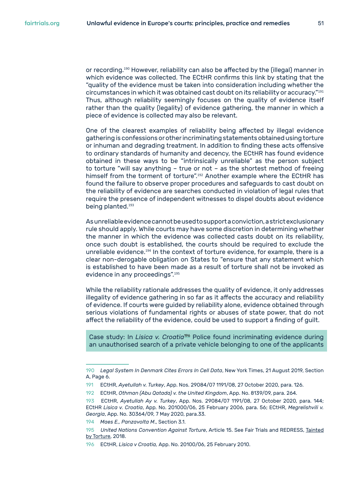or recording.<sup>190</sup> However, reliability can also be affected by the (illegal) manner in which evidence was collected. The ECtHR confirms this link by stating that the "quality of the evidence must be taken into consideration including whether the circumstances in which it was obtained cast doubt on its reliability or accuracy."<sup>191</sup> Thus, although reliability seemingly focuses on the quality of evidence itself rather than the quality (legality) of evidence gathering, the manner in which a piece of evidence is collected may also be relevant.

One of the clearest examples of reliability being affected by illegal evidence gathering is confessions or other incriminating statements obtained using torture or inhuman and degrading treatment. In addition to finding these acts offensive to ordinary standards of humanity and decency, the ECtHR has found evidence obtained in these ways to be "intrinsically unreliable" as the person subject to torture "will say anything – true or not – as the shortest method of freeing himself from the torment of torture".<sup>192</sup> Another example where the ECtHR has found the failure to observe proper procedures and safeguards to cast doubt on the reliability of evidence are searches conducted in violation of legal rules that require the presence of independent witnesses to dispel doubts about evidence being planted.<sup>193</sup>

As unreliable evidence cannot be used to support a conviction, a strict exclusionary rule should apply. While courts may have some discretion in determining whether the manner in which the evidence was collected casts doubt on its reliability, once such doubt is established, the courts should be required to exclude the unreliable evidence.<sup>194</sup> In the context of torture evidence, for example, there is a clear non-derogable obligation on States to "ensure that any statement which is established to have been made as a result of torture shall not be invoked as evidence in any proceedings".<sup>195</sup>

While the reliability rationale addresses the quality of evidence, it only addresses illegality of evidence gathering in so far as it affects the accuracy and reliability of evidence. If courts were guided by reliability alone, evidence obtained through serious violations of fundamental rights or abuses of state power, that do not affect the reliability of the evidence, could be used to support a finding of guilt.

Case study: In *Lisica v. Croatia*196 Police found incriminating evidence during an unauthorised search of a private vehicle belonging to one of the applicants

<sup>190</sup> *Legal System In Denmark Cites Errors In Cell Data*, New York Times, 21 August 2019, Section A, Page 6.

<sup>191</sup> ECtHR, *Ayetullah v. Turkey*, App. Nos. 29084/07 1191/08, 27 October 2020, para. 126.

<sup>192</sup> ECtHR, *Othman (Abu Qatada) v. the United Kingdom*, App. No. 8139/09, para. 264.

<sup>193</sup> ECtHR, *Ayetullah Ay v. Turkey*, App. Nos. 29084/07 1191/08, 27 October 2020, para. 144; ECtHR *Lisica v. Croatia*, App. No. 201000/06, 25 February 2006, para. 56; ECtHR, *Megrelishvili v. Georgia*, App. No. 30364/09, 7 May 2020, para.33.

<sup>194</sup> *Maes E., Panzavolta M*., Section 3.1.

<sup>195</sup> *United Nations Convention Against Torture*, Article 15. See Fair Trials and REDRESS, [Tainted](https://www.fairtrials.org/sites/default/files/publication_pdf/Tainted-by-Torture-Examining-the-Use-of-Evidence-Obtained-by-Torture.pdf)  [by Torture](https://www.fairtrials.org/sites/default/files/publication_pdf/Tainted-by-Torture-Examining-the-Use-of-Evidence-Obtained-by-Torture.pdf), 2018.

<sup>196</sup> ECtHR, *Lisica v Croatia,* App. No. 20100/06, 25 February 2010.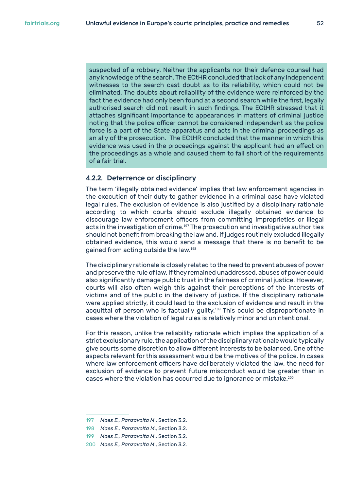<span id="page-51-0"></span>suspected of a robbery. Neither the applicants nor their defence counsel had any knowledge of the search. The ECtHR concluded that lack of any independent witnesses to the search cast doubt as to its reliability, which could not be eliminated. The doubts about reliability of the evidence were reinforced by the fact the evidence had only been found at a second search while the first, legally authorised search did not result in such findings. The ECtHR stressed that it attaches significant importance to appearances in matters of criminal justice noting that the police officer cannot be considered independent as the police force is a part of the State apparatus and acts in the criminal proceedings as an ally of the prosecution. The ECtHR concluded that the manner in which this evidence was used in the proceedings against the applicant had an effect on the proceedings as a whole and caused them to fall short of the requirements of a fair trial.

#### **4.2.2. Deterrence or disciplinary**

The term 'illegally obtained evidence' implies that law enforcement agencies in the execution of their duty to gather evidence in a criminal case have violated legal rules. The exclusion of evidence is also justified by a disciplinary rationale according to which courts should exclude illegally obtained evidence to discourage law enforcement officers from committing improprieties or illegal acts in the investigation of crime.<sup>197</sup> The prosecution and investigative authorities should not benefit from breaking the law and, if judges routinely excluded illegally obtained evidence, this would send a message that there is no benefit to be gained from acting outside the law.<sup>198</sup>

The disciplinary rationale is closely related to the need to prevent abuses of power and preserve the rule of law. If they remained unaddressed, abuses of power could also significantly damage public trust in the fairness of criminal justice. However, courts will also often weigh this against their perceptions of the interests of victims and of the public in the delivery of justice. If the disciplinary rationale were applied strictly, it could lead to the exclusion of evidence and result in the acquittal of person who is factually guilty.<sup>199</sup> This could be disproportionate in cases where the violation of legal rules is relatively minor and unintentional.

For this reason, unlike the reliability rationale which implies the application of a strict exclusionary rule, the application of the disciplinary rationale would typically give courts some discretion to allow different interests to be balanced. One of the aspects relevant for this assessment would be the motives of the police. In cases where law enforcement officers have deliberately violated the law, the need for exclusion of evidence to prevent future misconduct would be greater than in cases where the violation has occurred due to ignorance or mistake.<sup>200</sup>

<sup>197</sup> *Maes E., Panzavolta M*., Section 3.2.

<sup>198</sup> *Maes E., Panzavolta M*., Section 3.2.

<sup>199</sup> *Maes E., Panzavolta M*., Section 3.2.

<sup>200</sup> *Maes E., Panzavolta M*., Section 3.2.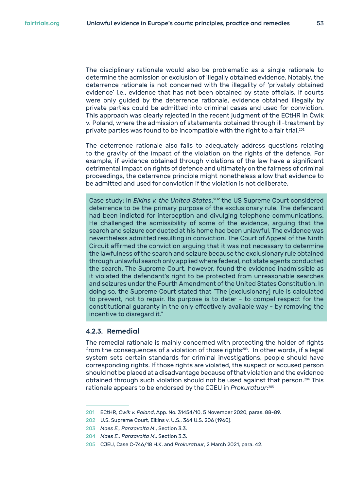<span id="page-52-0"></span>The disciplinary rationale would also be problematic as a single rationale to determine the admission or exclusion of illegally obtained evidence. Notably, the deterrence rationale is not concerned with the illegality of 'privately obtained evidence' i.e., evidence that has not been obtained by state officials. If courts were only guided by the deterrence rationale, evidence obtained illegally by private parties could be admitted into criminal cases and used for conviction. This approach was clearly rejected in the recent judgment of the ECtHR in Ćwik v. Poland, where the admission of statements obtained through ill-treatment by private parties was found to be incompatible with the right to a fair trial.<sup>201</sup>

The deterrence rationale also fails to adequately address questions relating to the gravity of the impact of the violation on the rights of the defence. For example, if evidence obtained through violations of the law have a significant detrimental impact on rights of defence and ultimately on the fairness of criminal proceedings, the deterrence principle might nonetheless allow that evidence to be admitted and used for conviction if the violation is not deliberate.

Case study: In *Elkins v. the United States*, <sup>202</sup> the US Supreme Court considered deterrence to be the primary purpose of the exclusionary rule. The defendant had been indicted for interception and divulging telephone communications. He challenged the admissibility of some of the evidence, arguing that the search and seizure conducted at his home had been unlawful. The evidence was nevertheless admitted resulting in conviction. The Court of Appeal of the Ninth Circuit affirmed the conviction arguing that it was not necessary to determine the lawfulness of the search and seizure because the exclusionary rule obtained through unlawful search only applied where federal, not state agents conducted the search. The Supreme Court, however, found the evidence inadmissible as it violated the defendant's right to be protected from unreasonable searches and seizures under the Fourth Amendment of the United States Constitution. In doing so, the Supreme Court stated that "The [exclusionary] rule is calculated to prevent, not to repair. Its purpose is to deter - to compel respect for the constitutional guaranty in the only effectively available way - by removing the incentive to disregard it."

#### **4.2.3. Remedial**

The remedial rationale is mainly concerned with protecting the holder of rights from the consequences of a violation of those rights $203$ . In other words, if a legal system sets certain standards for criminal investigations, people should have corresponding rights. If those rights are violated, the suspect or accused person should not be placed at a disadvantage because of that violation and the evidence obtained through such violation should not be used against that person.<sup>204</sup> This rationale appears to be endorsed by the CJEU in *Prokuratuur*: 205

<sup>201</sup> ECtHR, *Cwik v. Poland*, App. No. 31454/10, 5 November 2020, paras. 88-89.

<sup>202</sup> U.S. Supreme Court, Elkins v. U.S., 364 U.S. 206 (1960).

<sup>203</sup> *Maes E., Panzavolta M*., Section 3.3.

<sup>204</sup> *Maes E., Panzavolta M*., Section 3.3.

<sup>205</sup> CJEU, Case C-746/18 H.K. and *Prokuratuur*, 2 March 2021, para. 42.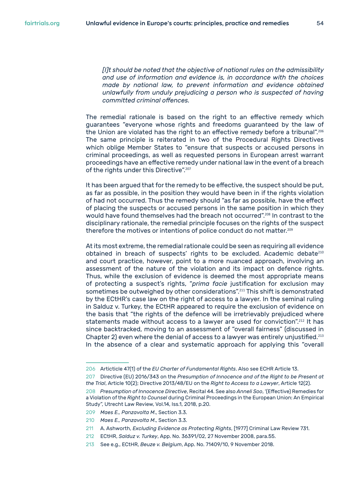*[I]t should be noted that the objective of national rules on the admissibility and use of information and evidence is, in accordance with the choices made by national law, to prevent information and evidence obtained unlawfully from unduly prejudicing a person who is suspected of having committed criminal offences.*

The remedial rationale is based on the right to an effective remedy which guarantees "everyone whose rights and freedoms guaranteed by the law of the Union are violated has the right to an effective remedy before a tribunal".<sup>206</sup> The same principle is reiterated in two of the Procedural Rights Directives which oblige Member States to "ensure that suspects or accused persons in criminal proceedings, as well as requested persons in European arrest warrant proceedings have an effective remedy under national law in the event of a breach of the rights under this Directive".<sup>207</sup>

It has been argued that for the remedy to be effective, the suspect should be put, as far as possible, in the position they would have been in if the rights violation of had not occurred. Thus the remedy should "as far as possible, have the effect of placing the suspects or accused persons in the same position in which they would have found themselves had the breach not occurred".<sup>208</sup> In contrast to the disciplinary rationale, the remedial principle focuses on the rights of the suspect therefore the motives or intentions of police conduct do not matter.<sup>209</sup>

At its most extreme, the remedial rationale could be seen as requiring all evidence obtained in breach of suspects' rights to be excluded. Academic debate<sup>210</sup> and court practice, however, point to a more nuanced approach, involving an assessment of the nature of the violation and its impact on defence rights. Thus, while the exclusion of evidence is deemed the most appropriate means of protecting a suspect's rights, "*prima facie* justification for exclusion may sometimes be outweighed by other considerations".<sup>211</sup> This shift is demonstrated by the ECtHR's case law on the right of access to a lawyer. In the seminal ruling in Salduz v. Turkey, the ECtHR appeared to require the exclusion of evidence on the basis that "the rights of the defence will be irretrievably prejudiced where statements made without access to a lawyer are used for conviction".<sup>212</sup> It has since backtracked, moving to an assessment of "overall fairness" (discussed in Chapter 2) even where the denial of access to a lawyer was entirely unjustified.<sup>213</sup> In the absence of a clear and systematic approach for applying this "overall

<sup>206</sup> Articticle 47(1) of the *EU Charter of Fundamental Rights*. Also see ECHR Article 13.

<sup>207</sup> Directive (EU) 2016/343 on the *Presumption of Innocence and of the Right to be Present at the Trial*, Article 10(2); Directive 2013/48/EU on the *Right to Access to a Lawyer*, Article 12(2).

<sup>208</sup> *Presumption of Innocence Directive*, Recital 44. See also *Anneli Soo*, '(Effective) Remedies for a Violation of the *Right to Counsel* during Criminal Proceedings in the European Union: An Empirical Study", Utrecht Law Review, Vol.14, Iss.1, 2018, p.20.

<sup>209</sup> *Maes E., Panzavolta M*., Section 3.3.

<sup>210</sup> *Maes E., Panzavolta M*., Section 3.3.

<sup>211</sup> A. Ashworth, *Excluding Evidence as Protecting Rights*, [1977] Criminal Law Review 731.

<sup>212</sup> ECtHR, *Salduz v. Turkey*, App. No. 36391/02, 27 November 2008, para.55.

<sup>213</sup> See e.g., ECtHR, *Beuze v. Belgium*, App. No. 71409/10, 9 November 2018.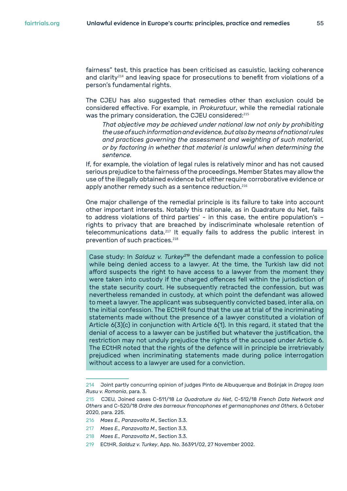fairness" test, this practice has been criticised as casuistic, lacking coherence and clarity<sup>214</sup> and leaving space for prosecutions to benefit from violations of a person's fundamental rights.

The CJEU has also suggested that remedies other than exclusion could be considered effective. For example, in *Prokuratuur*, while the remedial rationale was the primary consideration, the CJEU considered:<sup>215</sup>

*That objective may be achieved under national law not only by prohibiting the use of such information and evidence, but also by means of national rules and practices governing the assessment and weighting of such material, or by factoring in whether that material is unlawful when determining the sentence.*

If, for example, the violation of legal rules is relatively minor and has not caused serious prejudice to the fairness of the proceedings, Member States may allow the use of the illegally obtained evidence but either require corroborative evidence or apply another remedy such as a sentence reduction.<sup>216</sup>

One major challenge of the remedial principle is its failure to take into account other important interests. Notably this rationale, as in Quadrature du Net, fails to address violations of third parties' - in this case, the entire population's – rights to privacy that are breached by indiscriminate wholesale retention of telecommunications data.<sup>217</sup> It equally fails to address the public interest in prevention of such practices.<sup>218</sup>

Case study: In *Salduz v. Turkey*<sup>219</sup> the defendant made a confession to police while being denied access to a lawyer. At the time, the Turkish law did not afford suspects the right to have access to a lawyer from the moment they were taken into custody if the charged offences fell within the jurisdiction of the state security court. He subsequently retracted the confession, but was nevertheless remanded in custody, at which point the defendant was allowed to meet a lawyer. The applicant was subsequently convicted based, inter alia, on the initial confession. The ECtHR found that the use at trial of the incriminating statements made without the presence of a lawyer constituted a violation of Article 6(3)(c) in conjunction with Article 6(1). In this regard, it stated that the denial of access to a lawyer can be justified but whatever the justification, the restriction may not unduly prejudice the rights of the accused under Article 6. The ECtHR noted that the rights of the defence will in principle be irretrievably prejudiced when incriminating statements made during police interrogation without access to a lawyer are used for a conviction.

<sup>214</sup> Joint partly concurring opinion of judges Pinto de Albuquerque and Bošnjak in *Dragoş Ioan Rusu v. Romania*, para. 3.

<sup>215</sup> CJEU, Joined cases C-511/18 *La Quadrature du Net*, C-512/18 *French Data Network and Others* and C-520/18 *Ordre des barreaux francophones et germanophones and Others*, 6 October 2020, para. 225.

<sup>216</sup> *Maes E., Panzavolta M*., Section 3.3.

<sup>217</sup> *Maes E., Panzavolta M*., Section 3.3.

<sup>218</sup> *Maes E., Panzavolta M*., Section 3.3.

<sup>219</sup> ECtHR, *Salduz v. Turkey*, App. No. 36391/02, 27 November 2002.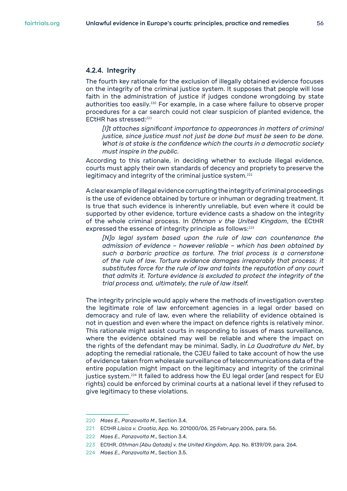#### <span id="page-55-0"></span>**4.2.4. Integrity**

The fourth key rationale for the exclusion of illegally obtained evidence focuses on the integrity of the criminal justice system. It supposes that people will lose faith in the administration of justice if judges condone wrongdoing by state authorities too easily.<sup>220</sup> For example, in a case where failure to observe proper procedures for a car search could not clear suspicion of planted evidence, the ECtHR has stressed:<sup>221</sup>

*[I]t attaches significant importance to appearances in matters of criminal justice, since justice must not just be done but must be seen to be done. What is at stake is the confidence which the courts in a democratic society must inspire in the public.*

According to this rationale, in deciding whether to exclude illegal evidence, courts must apply their own standards of decency and propriety to preserve the legitimacy and integrity of the criminal justice system.<sup>222</sup>

A clear example of illegal evidence corrupting the integrity of criminal proceedings is the use of evidence obtained by torture or inhuman or degrading treatment. It is true that such evidence is inherently unreliable, but even where it could be supported by other evidence, torture evidence casts a shadow on the integrity of the whole criminal process. In *Othman v the United Kingdom*, the ECtHR expressed the essence of integrity principle as follows:<sup>223</sup>

*[N]o legal system based upon the rule of law can countenance the admission of evidence – however reliable – which has been obtained by such a barbaric practice as torture. The trial process is a cornerstone of the rule of law. Torture evidence damages irreparably that process; it substitutes force for the rule of law and taints the reputation of any court that admits it. Torture evidence is excluded to protect the integrity of the trial process and, ultimately, the rule of law itself.*

The integrity principle would apply where the methods of investigation overstep the legitimate role of law enforcement agencies in a legal order based on democracy and rule of law, even where the reliability of evidence obtained is not in question and even where the impact on defence rights is relatively minor. This rationale might assist courts in responding to issues of mass surveillance, where the evidence obtained may well be reliable and where the impact on the rights of the defendant may be minimal. Sadly, in *La Quadrature du Net*, by adopting the remedial rationale, the CJEU failed to take account of how the use of evidence taken from wholesale surveillance of telecommunications data of the entire population might impact on the legitimacy and integrity of the criminal justice system.<sup>224</sup> It failed to address how the EU legal order (and respect for EU rights) could be enforced by criminal courts at a national level if they refused to give legitimacy to these violations.

<sup>220</sup> *Maes E., Panzavolta M*., Section 3.4.

<sup>221</sup> ECtHR *Lisica v. Croatia*, App. No. 201000/06, 25 February 2006, para. 56.

<sup>222</sup> *Maes E., Panzavolta M*., Section 3.4.

<sup>223</sup> ECtHR, *Othman (Abu Qatada) v. the United Kingdom*, App. No. 8139/09, para. 264.

<sup>224</sup> *Maes E., Panzavolta M*., Section 3.5.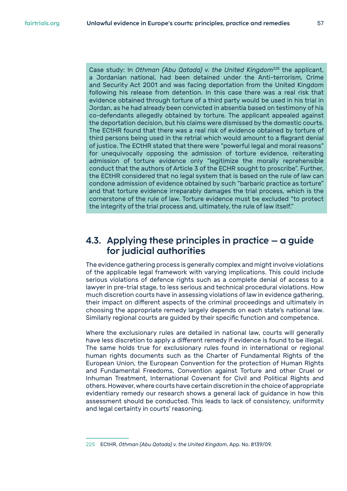<span id="page-56-0"></span>Case study: In *Othman (Abu Qatada) v. the United Kingdom*<sup>225</sup> the applicant, a Jordanian national, had been detained under the Anti-terrorism, Crime and Security Act 2001 and was facing deportation from the United Kingdom following his release from detention. In this case there was a real risk that evidence obtained through torture of a third party would be used in his trial in Jordan, as he had already been convicted in absentia based on testimony of his co-defendants allegedly obtained by torture. The applicant appealed against the deportation decision, but his claims were dismissed by the domestic courts. The ECtHR found that there was a real risk of evidence obtained by torture of third persons being used in the retrial which would amount to a flagrant denial of justice. The ECtHR stated that there were "powerful legal and moral reasons" for unequivocally opposing the admission of torture evidence, reiterating admission of torture evidence only "legitimize the morally reprehensible conduct that the authors of Article 3 of the ECHR sought to proscribe". Further, the ECtHR considered that no legal system that is based on the rule of law can condone admission of evidence obtained by such "barbaric practice as torture" and that torture evidence irreparably damages the trial process, which is the cornerstone of the rule of law. Torture evidence must be excluded "to protect the integrity of the trial process and, ultimately, the rule of law itself."

## **4.3. Applying these principles in practice – a guide for judicial authorities**

The evidence gathering process is generally complex and might involve violations of the applicable legal framework with varying implications. This could include serious violations of defence rights such as a complete denial of access to a lawyer in pre-trial stage, to less serious and technical procedural violations. How much discretion courts have in assessing violations of law in evidence gathering, their impact on different aspects of the criminal proceedings and ultimately in choosing the appropriate remedy largely depends on each state's national law. Similarly regional courts are guided by their specific function and competence.

Where the exclusionary rules are detailed in national law, courts will generally have less discretion to apply a different remedy if evidence is found to be illegal. The same holds true for exclusionary rules found in international or regional human rights documents such as the Charter of Fundamental Rights of the European Union, the European Convention for the protection of Human Rights and Fundamental Freedoms, Convention against Torture and other Cruel or Inhuman Treatment, International Covenant for Civil and Political Rights and others. However, where courts have certain discretion in the choice of appropriate evidentiary remedy our research shows a general lack of guidance in how this assessment should be conducted. This leads to lack of consistency, uniformity and legal certainty in courts' reasoning.

<sup>225</sup> ECtHR, *Othman (Abu Qatada) v. the United Kingdom*, App. No. 8139/09.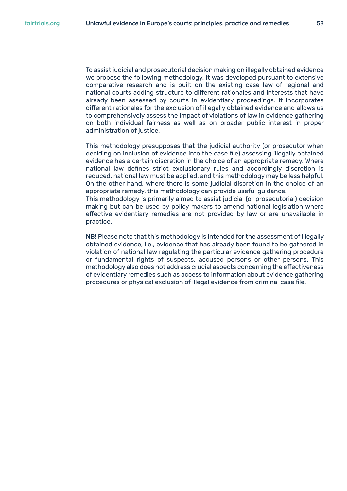To assist judicial and prosecutorial decision making on illegally obtained evidence we propose the following methodology. It was developed pursuant to extensive comparative research and is built on the existing case law of regional and national courts adding structure to different rationales and interests that have already been assessed by courts in evidentiary proceedings. It incorporates different rationales for the exclusion of illegally obtained evidence and allows us to comprehensively assess the impact of violations of law in evidence gathering on both individual fairness as well as on broader public interest in proper administration of justice.

This methodology presupposes that the judicial authority (or prosecutor when deciding on inclusion of evidence into the case file) assessing illegally obtained evidence has a certain discretion in the choice of an appropriate remedy. Where national law defines strict exclusionary rules and accordingly discretion is reduced, national law must be applied, and this methodology may be less helpful. On the other hand, where there is some judicial discretion in the choice of an appropriate remedy, this methodology can provide useful guidance.

This methodology is primarily aimed to assist judicial (or prosecutorial) decision making but can be used by policy makers to amend national legislation where effective evidentiary remedies are not provided by law or are unavailable in practice.

NB! Please note that this methodology is intended for the assessment of illegally obtained evidence, i.e., evidence that has already been found to be gathered in violation of national law regulating the particular evidence gathering procedure or fundamental rights of suspects, accused persons or other persons. This methodology also does not address crucial aspects concerning the effectiveness of evidentiary remedies such as access to information about evidence gathering procedures or physical exclusion of illegal evidence from criminal case file.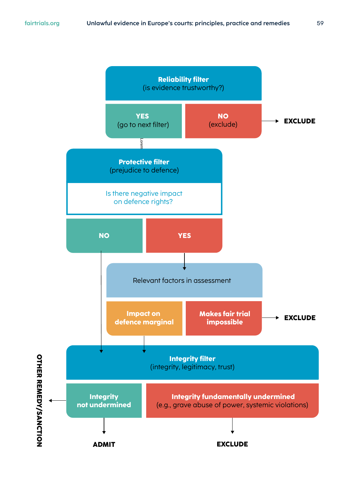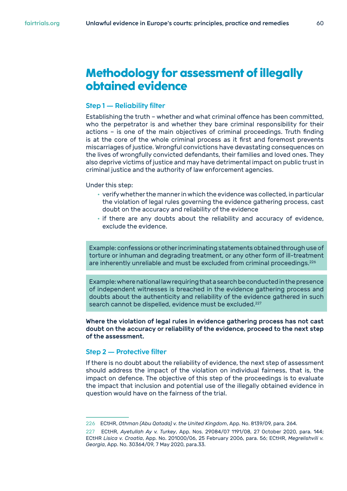## <span id="page-59-0"></span>**Methodology for assessment of illegally obtained evidence**

#### **Step 1 — Reliability filter**

Establishing the truth – whether and what criminal offence has been committed, who the perpetrator is and whether they bare criminal responsibility for their actions – is one of the main objectives of criminal proceedings. Truth finding is at the core of the whole criminal process as it first and foremost prevents miscarriages of justice. Wrongful convictions have devastating consequences on the lives of wrongfully convicted defendants, their families and loved ones. They also deprive victims of justice and may have detrimental impact on public trust in criminal justice and the authority of law enforcement agencies.

#### Under this step:

- verify whether the manner in which the evidence was collected, in particular the violation of legal rules governing the evidence gathering process, cast doubt on the accuracy and reliability of the evidence
- if there are any doubts about the reliability and accuracy of evidence, exclude the evidence.

Example: confessions or other incriminating statements obtained through use of torture or inhuman and degrading treatment, or any other form of ill-treatment are inherently unreliable and must be excluded from criminal proceedings.<sup>226</sup>

Example: where national law requiring that a search be conducted in the presence of independent witnesses is breached in the evidence gathering process and doubts about the authenticity and reliability of the evidence gathered in such search cannot be dispelled, evidence must be excluded.<sup>227</sup>

Where the violation of legal rules in evidence gathering process has not cast doubt on the accuracy or reliability of the evidence, proceed to the next step of the assessment.

#### **Step 2 — Protective filter**

If there is no doubt about the reliability of evidence, the next step of assessment should address the impact of the violation on individual fairness, that is, the impact on defence. The objective of this step of the proceedings is to evaluate the impact that inclusion and potential use of the illegally obtained evidence in question would have on the fairness of the trial.

<sup>226</sup> ECtHR, *Othman (Abu Qatada) v. the United Kingdom*, App. No. 8139/09, para. 264.

<sup>227</sup> ECtHR, *Ayetullah Ay v. Turkey*, App. Nos. 29084/07 1191/08, 27 October 2020, para. 144; ECtHR *Lisica v. Croatia*, App. No. 201000/06, 25 February 2006, para. 56; ECtHR, *Megrelishvili v. Georgia*, App. No. 30364/09, 7 May 2020, para.33.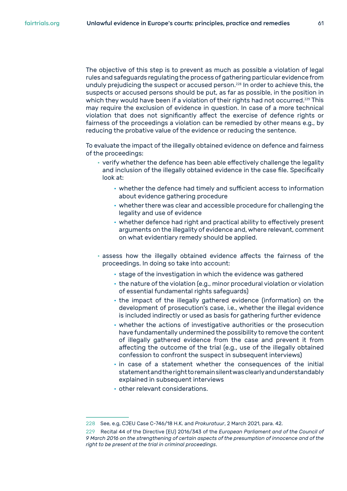The objective of this step is to prevent as much as possible a violation of legal rules and safeguards regulating the process of gathering particular evidence from unduly prejudicing the suspect or accused person.<sup>228</sup> In order to achieve this, the suspects or accused persons should be put, as far as possible, in the position in which they would have been if a violation of their rights had not occurred.<sup>229</sup> This may require the exclusion of evidence in question. In case of a more technical violation that does not significantly affect the exercise of defence rights or fairness of the proceedings a violation can be remedied by other means e.g., by reducing the probative value of the evidence or reducing the sentence.

To evaluate the impact of the illegally obtained evidence on defence and fairness of the proceedings:

- verify whether the defence has been able effectively challenge the legality and inclusion of the illegally obtained evidence in the case file. Specifically look at:
	- whether the defence had timely and sufficient access to information about evidence gathering procedure
	- whether there was clear and accessible procedure for challenging the legality and use of evidence
	- whether defence had right and practical ability to effectively present arguments on the illegality of evidence and, where relevant, comment on what evidentiary remedy should be applied.
- assess how the illegally obtained evidence affects the fairness of the proceedings. In doing so take into account:
	- stage of the investigation in which the evidence was gathered
	- the nature of the violation (e.g., minor procedural violation or violation of essential fundamental rights safeguards)
	- the impact of the illegally gathered evidence (information) on the development of prosecution's case, i.e., whether the illegal evidence is included indirectly or used as basis for gathering further evidence
	- whether the actions of investigative authorities or the prosecution have fundamentally undermined the possibility to remove the content of illegally gathered evidence from the case and prevent it from affecting the outcome of the trial (e.g., use of the illegally obtained confession to confront the suspect in subsequent interviews)
	- in case of a statement whether the consequences of the initial statement and the right to remain silent was clearly and understandably explained in subsequent interviews
	- other relevant considerations.

<sup>228</sup> See, e.g, CJEU Case C-746/18 H.K. and *Prokuratuur*, 2 March 2021, para. 42.

<sup>229</sup> Recital 44 of the Directive (EU) 2016/343 of the *European Parliament and of the Council of 9 March 2016 on the strengthening of certain aspects of the presumption of innocence and of the right to be present at the trial in criminal proceedings*.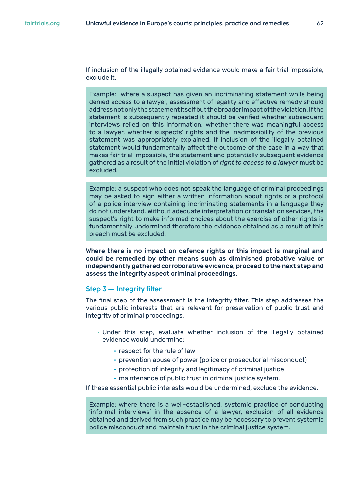If inclusion of the illegally obtained evidence would make a fair trial impossible, exclude it.

Example: where a suspect has given an incriminating statement while being denied access to a lawyer, assessment of legality and effective remedy should address not only the statement itself but the broader impact of the violation. If the statement is subsequently repeated it should be verified whether subsequent interviews relied on this information, whether there was meaningful access to a lawyer, whether suspects' rights and the inadmissibility of the previous statement was appropriately explained. If inclusion of the illegally obtained statement would fundamentally affect the outcome of the case in a way that makes fair trial impossible, the statement and potentially subsequent evidence gathered as a result of the initial violation of *right to access to a lawyer* must be excluded.

Example: a suspect who does not speak the language of criminal proceedings may be asked to sign either a written information about rights or a protocol of a police interview containing incriminating statements in a language they do not understand. Without adequate interpretation or translation services, the suspect's right to make informed choices about the exercise of other rights is fundamentally undermined therefore the evidence obtained as a result of this breach must be excluded.

Where there is no impact on defence rights or this impact is marginal and could be remedied by other means such as diminished probative value or independently gathered corroborative evidence, proceed to the next step and assess the integrity aspect criminal proceedings.

#### **Step 3 — Integrity filter**

The final step of the assessment is the integrity filter. This step addresses the various public interests that are relevant for preservation of public trust and integrity of criminal proceedings.

- Under this step, evaluate whether inclusion of the illegally obtained evidence would undermine:
	- respect for the rule of law
	- prevention abuse of power (police or prosecutorial misconduct)
	- protection of integrity and legitimacy of criminal justice
	- maintenance of public trust in criminal justice system.

If these essential public interests would be undermined, exclude the evidence.

Example: where there is a well-established, systemic practice of conducting 'informal interviews' in the absence of a lawyer, exclusion of all evidence obtained and derived from such practice may be necessary to prevent systemic police misconduct and maintain trust in the criminal justice system.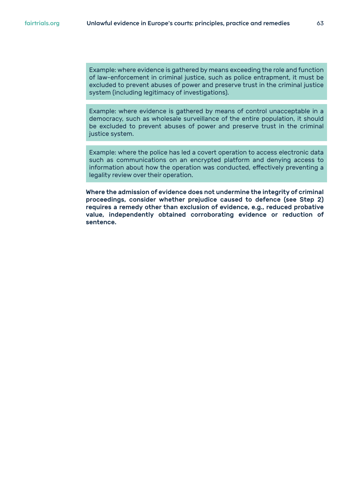Example: where evidence is gathered by means exceeding the role and function of law-enforcement in criminal justice, such as police entrapment, it must be excluded to prevent abuses of power and preserve trust in the criminal justice system (including legitimacy of investigations).

Example: where evidence is gathered by means of control unacceptable in a democracy, such as wholesale surveillance of the entire population, it should be excluded to prevent abuses of power and preserve trust in the criminal justice system.

Example: where the police has led a covert operation to access electronic data such as communications on an encrypted platform and denying access to information about how the operation was conducted, effectively preventing a legality review over their operation.

Where the admission of evidence does not undermine the integrity of criminal proceedings, consider whether prejudice caused to defence (see Step 2) requires a remedy other than exclusion of evidence, e.g., reduced probative value, independently obtained corroborating evidence or reduction of sentence.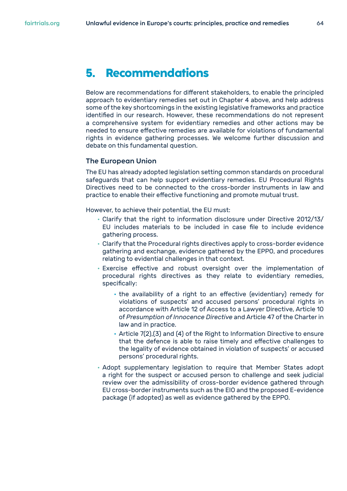<span id="page-63-0"></span>Below are recommendations for different stakeholders, to enable the principled approach to evidentiary remedies set out in Chapter 4 above, and help address some of the key shortcomings in the existing legislative frameworks and practice identified in our research. However, these recommendations do not represent a comprehensive system for evidentiary remedies and other actions may be needed to ensure effective remedies are available for violations of fundamental rights in evidence gathering processes. We welcome further discussion and debate on this fundamental question.

#### **The European Union**

The EU has already adopted legislation setting common standards on procedural safeguards that can help support evidentiary remedies. EU Procedural Rights Directives need to be connected to the cross-border instruments in law and practice to enable their effective functioning and promote mutual trust.

However, to achieve their potential, the EU must:

- Clarify that the right to information disclosure under Directive 2012/13/ EU includes materials to be included in case file to include evidence gathering process.
- Clarify that the Procedural rights directives apply to cross-border evidence gathering and exchange, evidence gathered by the EPPO, and procedures relating to evidential challenges in that context.
- Exercise effective and robust oversight over the implementation of procedural rights directives as they relate to evidentiary remedies, specifically:
	- the availability of a right to an effective (evidentiary) remedy for violations of suspects' and accused persons' procedural rights in accordance with Article 12 of Access to a Lawyer Directive, Article 10 of *Presumption of Innocence Directive* and Article 47 of the Charter in law and in practice.
	- Article 7(2),(3) and (4) of the Right to Information Directive to ensure that the defence is able to raise timely and effective challenges to the legality of evidence obtained in violation of suspects' or accused persons' procedural rights.
- Adopt supplementary legislation to require that Member States adopt a right for the suspect or accused person to challenge and seek judicial review over the admissibility of cross-border evidence gathered through EU cross-border instruments such as the EIO and the proposed E-evidence package (if adopted) as well as evidence gathered by the EPPO.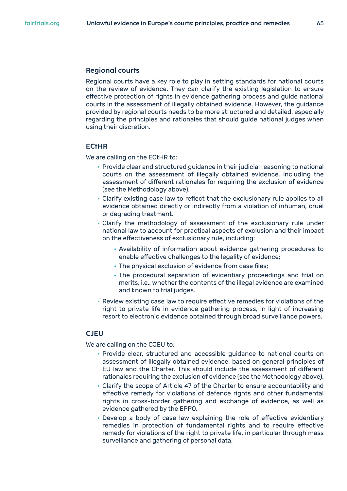#### <span id="page-64-0"></span>**Regional courts**

Regional courts have a key role to play in setting standards for national courts on the review of evidence. They can clarify the existing legislation to ensure effective protection of rights in evidence gathering process and guide national courts in the assessment of illegally obtained evidence. However, the guidance provided by regional courts needs to be more structured and detailed, especially regarding the principles and rationales that should guide national judges when using their discretion.

#### **ECtHR**

We are calling on the ECtHR to:

- Provide clear and structured guidance in their judicial reasoning to national courts on the assessment of illegally obtained evidence, including the assessment of different rationales for requiring the exclusion of evidence (see the Methodology above).
- Clarify existing case law to reflect that the exclusionary rule applies to all evidence obtained directly or indirectly from a violation of inhuman, cruel or degrading treatment.
- Clarify the methodology of assessment of the exclusionary rule under national law to account for practical aspects of exclusion and their impact on the effectiveness of exclusionary rule, including:
	- Availability of information about evidence gathering procedures to enable effective challenges to the legality of evidence;
	- The physical exclusion of evidence from case files;
	- The procedural separation of evidentiary proceedings and trial on merits, i.e., whether the contents of the illegal evidence are examined and known to trial judges.
- Review existing case law to require effective remedies for violations of the right to private life in evidence gathering process, in light of increasing resort to electronic evidence obtained through broad surveillance powers.

#### **CJEU**

We are calling on the CJEU to:

- Provide clear, structured and accessible guidance to national courts on assessment of illegally obtained evidence, based on general principles of EU law and the Charter. This should include the assessment of different rationales requiring the exclusion of evidence (see the Methodology above).
- Clarify the scope of Article 47 of the Charter to ensure accountability and effective remedy for violations of defence rights and other fundamental rights in cross-border gathering and exchange of evidence, as well as evidence gathered by the EPPO.
- Develop a body of case law explaining the role of effective evidentiary remedies in protection of fundamental rights and to require effective remedy for violations of the right to private life, in particular through mass surveillance and gathering of personal data.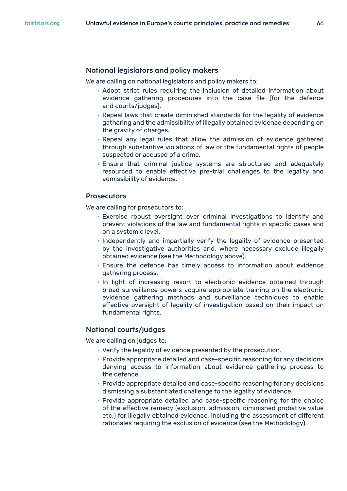#### <span id="page-65-0"></span>**National legislators and policy makers**

We are calling on national legislators and policy makers to:

- Adopt strict rules requiring the inclusion of detailed information about evidence gathering procedures into the case file (for the defence and courts/judges).
- Repeal laws that create diminished standards for the legality of evidence gathering and the admissibility of illegally obtained evidence depending on the gravity of charges.
- Repeal any legal rules that allow the admission of evidence gathered through substantive violations of law or the fundamental rights of people suspected or accused of a crime.
- Ensure that criminal justice systems are structured and adequately resourced to enable effective pre-trial challenges to the legality and admissibility of evidence.

#### **Prosecutors**

We are calling for prosecutors to:

- Exercise robust oversight over criminal investigations to identify and prevent violations of the law and fundamental rights in specific cases and on a systemic level.
- Independently and impartially verify the legality of evidence presented by the investigative authorities and, where necessary exclude illegally obtained evidence (see the Methodology above).
- Ensure the defence has timely access to information about evidence gathering process.
- In light of increasing resort to electronic evidence obtained through broad surveillance powers acquire appropriate training on the electronic evidence gathering methods and surveillance techniques to enable effective oversight of legality of investigation based on their impact on fundamental rights.

#### **National courts/judges**

We are calling on judges to:

- Verify the legality of evidence presented by the prosecution.
- Provide appropriate detailed and case-specific reasoning for any decisions denying access to information about evidence gathering process to the defence.
- Provide appropriate detailed and case-specific reasoning for any decisions dismissing a substantiated challenge to the legality of evidence.
- Provide appropriate detailed and case-specific reasoning for the choice of the effective remedy (exclusion, admission, diminished probative value etc.) for illegally obtained evidence, including the assessment of different rationales requiring the exclusion of evidence (see the Methodology).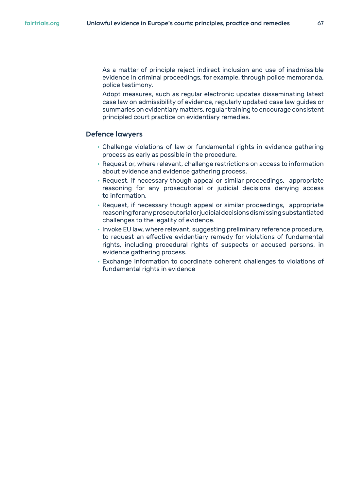<span id="page-66-0"></span>As a matter of principle reject indirect inclusion and use of inadmissible evidence in criminal proceedings, for example, through police memoranda, police testimony.

Adopt measures, such as regular electronic updates disseminating latest case law on admissibility of evidence, regularly updated case law guides or summaries on evidentiary matters, regular training to encourage consistent principled court practice on evidentiary remedies.

#### **Defence lawyers**

- Challenge violations of law or fundamental rights in evidence gathering process as early as possible in the procedure.
- Request or, where relevant, challenge restrictions on access to information about evidence and evidence gathering process.
- Request, if necessary though appeal or similar proceedings, appropriate reasoning for any prosecutorial or judicial decisions denying access to information.
- Request, if necessary though appeal or similar proceedings, appropriate reasoning for any prosecutorial or judicial decisions dismissing substantiated challenges to the legality of evidence.
- Invoke EU law, where relevant, suggesting preliminary reference procedure, to request an effective evidentiary remedy for violations of fundamental rights, including procedural rights of suspects or accused persons, in evidence gathering process.
- Exchange information to coordinate coherent challenges to violations of fundamental rights in evidence